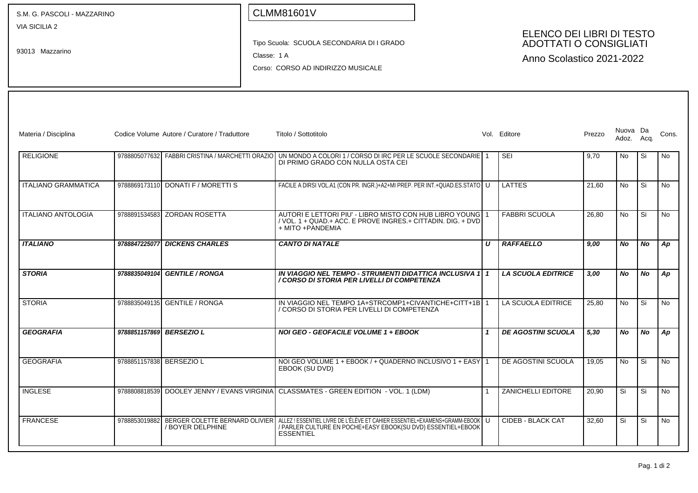VIA SICILIA 2

93013 Mazzarino

## CLMM81601V

Tipo Scuola: SCUOLA SECONDARIA DI I GRADO

Classe: 1 A

Corso: CORSO AD INDIRIZZO MUSICALE

#### ELENCO DEI LIBRI DI TESTO ADOTTATI O CONSIGLIATI

Anno Scolastico 2021-2022

| Materia / Disciplina       |                          | Codice Volume Autore / Curatore / Traduttore                     | Titolo / Sottotitolo                                                                                                                                               |                  | Vol. Editore              | Prezzo | Nuova Da<br>Adoz. | Acq.      | Cons.          |
|----------------------------|--------------------------|------------------------------------------------------------------|--------------------------------------------------------------------------------------------------------------------------------------------------------------------|------------------|---------------------------|--------|-------------------|-----------|----------------|
| RELIGIONE                  |                          |                                                                  | 9788805077632 FABBRI CRISTINA / MARCHETTI ORAZIO I UN MONDO A COLORI 1 / CORSO DI IRC PER LE SCUOLE SECONDARIE 1<br>DI PRIMO GRADO CON NULLA OSTA CEI              |                  | SEI                       | 9.70   | No                | Si        | No             |
| <b>ITALIANO GRAMMATICA</b> |                          | 9788869173110 DONATLE / MORETTLS                                 | FACILE A DIRSI VOL.A1 (CON PR. INGR.)+A2+MI PREP. PER INT.+QUAD.ES.STATO   U                                                                                       |                  | LATTES                    | 21.60  | <b>No</b>         | Si        | <b>No</b>      |
| <b>ITALIANO ANTOLOGIA</b>  |                          | 9788891534583 ZORDAN ROSETTA                                     | AUTORI E LETTORI PIU' - LIBRO MISTO CON HUB LIBRO YOUNG 1<br>/ VOL. 1 + QUAD.+ ACC. E PROVE INGRES.+ CITTADIN. DIG. + DVD<br>+ MITO + PANDEMIA                     |                  | <b>FABBRI SCUOLA</b>      | 26.80  | <b>No</b>         | Si        | <b>No</b>      |
| <b>ITALIANO</b>            | 9788847225077            | <b>DICKENS CHARLES</b>                                           | <b>CANTO DI NATALE</b>                                                                                                                                             | $\boldsymbol{U}$ | <b>RAFFAELLO</b>          | 9.00   | <b>No</b>         | <b>No</b> | Ap             |
| <b>STORIA</b>              |                          | 9788835049104 GENTILE / RONGA                                    | IN VIAGGIO NEL TEMPO - STRUMENTI DIDATTICA INCLUSIVA 1   1<br>/ CORSO DI STORIA PER LIVELLI DI COMPETENZA                                                          |                  | <b>LA SCUOLA EDITRICE</b> | 3.00   | <b>No</b>         | <b>No</b> | Ap             |
| <b>STORIA</b>              |                          | 9788835049135 GENTILE / RONGA                                    | IN VIAGGIO NEL TEMPO 1A+STRCOMP1+CIVANTICHE+CITT+1B 1<br>/ CORSO DI STORIA PER LIVELLI DI COMPETENZA                                                               |                  | LA SCUOLA EDITRICE        | 25.80  | <b>No</b>         | Si        | No             |
| <b>GEOGRAFIA</b>           | 9788851157869 BERSEZIO L |                                                                  | NOI GEO - GEOFACILE VOLUME 1 + EBOOK                                                                                                                               |                  | <b>DE AGOSTINI SCUOLA</b> | 5,30   | No.               | <b>No</b> | Ap             |
| <b>GEOGRAFIA</b>           | 9788851157838 BERSEZIO L |                                                                  | NOI GEO VOLUME 1 + EBOOK / + QUADERNO INCLUSIVO 1 + EASY 1<br>EBOOK (SU DVD)                                                                                       |                  | DE AGOSTINI SCUOLA        | 19.05  | <b>No</b>         | Si        | <b>No</b>      |
| <b>INGLESE</b>             |                          | 9788808818539 DOOLEY JENNY / EVANS VIRGINIA                      | CLASSMATES - GREEN EDITION - VOL. 1 (LDM)                                                                                                                          |                  | ZANICHELLI EDITORE        | 20.90  | Si                | Si        | N <sub>o</sub> |
| <b>FRANCESE</b>            |                          | 9788853019882 BERGER COLETTE BERNARD OLIVIER<br>/ BOYER DELPHINE | ALLEZ ! ESSENTIEL LIVRE DE L'ÉLÈVE ET CAHIER ESSENTIEL+EXAMENS+GRAMM-EBOOK   U<br>/ PARLER CULTURE EN POCHE+EASY EBOOK(SU DVD) ESSENTIEL+EBOOK<br><b>ESSENTIEL</b> |                  | CIDEB - BLACK CAT         | 32.60  | Si                | Si        | No             |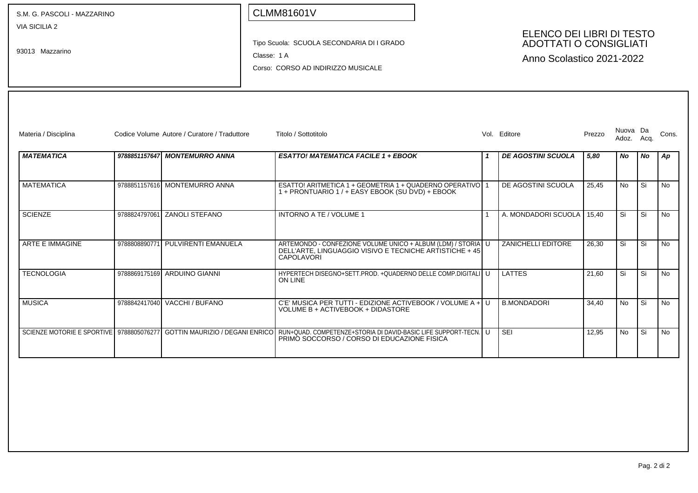S.M. G. PASCOLI - MAZZARINO

VIA SICILIA 2

93013 Mazzarino

# CLMM81601V

Tipo Scuola: SCUOLA SECONDARIA DI I GRADO

Classe: 1 A

Corso: CORSO AD INDIRIZZO MUSICALE

#### ELENCO DEI LIBRI DI TESTO ADOTTATI O CONSIGLIATI

Anno Scolastico 2021-2022

| Materia / Disciplina                     |               | Codice Volume Autore / Curatore / Traduttore | Titolo / Sottotitolo                                                                                                                                 | Vol. | Editore                   | Prezzo | Nuova Da<br>Adoz. | Aca.      | Cons.     |
|------------------------------------------|---------------|----------------------------------------------|------------------------------------------------------------------------------------------------------------------------------------------------------|------|---------------------------|--------|-------------------|-----------|-----------|
| <b>MATEMATICA</b>                        |               | 9788851157647 MONTEMURRO ANNA                | <b>ESATTO! MATEMATICA FACILE 1 + EBOOK</b>                                                                                                           |      | <b>DE AGOSTINI SCUOLA</b> | 5.80   | No.               | <b>No</b> | Ap        |
| <b>MATEMATICA</b>                        |               | 9788851157616 MONTEMURRO ANNA                | ESATTO! ARITMETICA 1 + GEOMETRIA 1 + QUADERNO OPERATIVO 1<br>1 + PRONTUARIO 1 / + EASY EBOOK (SU DVD) + EBOOK                                        |      | DE AGOSTINI SCUOLA        | 25,45  | <b>No</b>         | Si        | <b>No</b> |
| <b>SCIENZE</b>                           | 9788824797061 | <b>ZANOLI STEFANO</b>                        | INTORNO A TE / VOLUME 1                                                                                                                              |      | A. MONDADORI SCUOLA       | 15.40  | Si                | Si        | No        |
| <b>ARTE E IMMAGINE</b>                   | 9788808890771 | PULVIRENTI EMANUELA                          | ARTEMONDO - CONFEZIONE VOLUME UNICO + ALBUM (LDM) / STORIA U<br>DELL'ARTE, LINGUAGGIO VISIVO E TECNICHE ARTISTICHE + 45<br><b>CAPOLAVORI</b>         |      | <b>ZANICHELLI EDITORE</b> | 26.30  | Si                | Si        | No        |
| <b>TECNOLOGIA</b>                        |               | 9788869175169 ARDUINO GIANNI                 | HYPERTECH DISEGNO+SETT.PROD. +QUADERNO DELLE COMP.DIGITALI U<br>ON LINE                                                                              |      | LATTES                    | 21.60  | Si                | Si        | <b>No</b> |
| <b>MUSICA</b>                            |               | 9788842417040 VACCHI / BUFANO                | C'E' MUSICA PER TUTTI - EDIZIONE ACTIVEBOOK / VOLUME A + U<br>VOLUME B + ACTIVEBOOK + DIDASTORE                                                      |      | <b>B.MONDADORI</b>        | 34.40  | No.               | Si        | <b>No</b> |
| SCIENZE MOTORIE E SPORTIVE 9788805076277 |               |                                              | ا GOTTIN MAURIZIO / DEGANI ENRICO   RUN+QUAD. COMPETENZE+STORIA DI DAVID-BASIC LIFE SUPPORT-TECN. I U<br>PRIMO SOCCORSO / CORSO DI EDUCAZIONE FISICA |      | <b>SEI</b>                | 12,95  | No.               | Si        | <b>No</b> |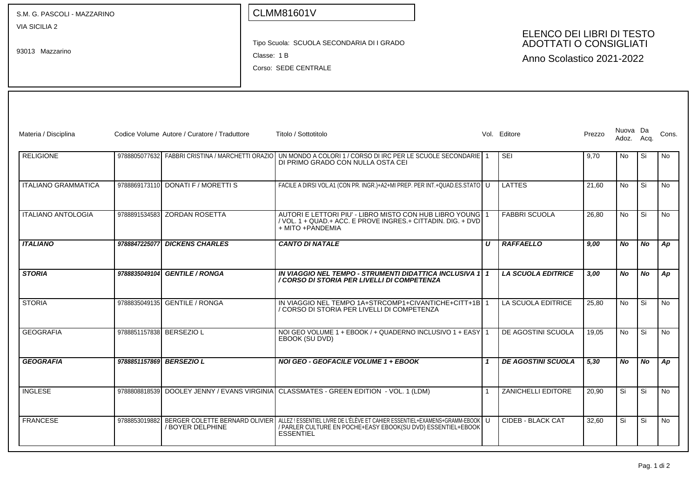| S.M. G. PASCOLI - MAZZARINO                                                                                                                                                                                     |                          |                                              | <b>CLMM81601V</b>                                                                                                                                                                              |  |   |                           |        |                   |           |           |
|-----------------------------------------------------------------------------------------------------------------------------------------------------------------------------------------------------------------|--------------------------|----------------------------------------------|------------------------------------------------------------------------------------------------------------------------------------------------------------------------------------------------|--|---|---------------------------|--------|-------------------|-----------|-----------|
| VIA SICILIA 2<br>ELENCO DEI LIBRI DI TESTO<br><b>ADOTTATI O CONSIGLIATI</b><br>Tipo Scuola: SCUOLA SECONDARIA DI I GRADO<br>93013 Mazzarino<br>Classe: 1 B<br>Anno Scolastico 2021-2022<br>Corso: SEDE CENTRALE |                          |                                              |                                                                                                                                                                                                |  |   |                           |        |                   |           |           |
| Materia / Disciplina                                                                                                                                                                                            |                          | Codice Volume Autore / Curatore / Traduttore | Titolo / Sottotitolo                                                                                                                                                                           |  |   | Vol. Editore              | Prezzo | Nuova Da<br>Adoz. | Acq.      | Cons.     |
| <b>RELIGIONE</b>                                                                                                                                                                                                |                          |                                              | 9788805077632 FABBRI CRISTINA / MARCHETTI ORAZIO UN MONDO A COLORI 1 / CORSO DI IRC PER LE SCUOLE SECONDARIE 1<br>DI PRIMO GRADO CON NULLA OSTA CEI                                            |  |   | SEI                       | 9,70   | No                | Si        | No        |
| <b>ITALIANO GRAMMATICA</b>                                                                                                                                                                                      |                          | 9788869173110 DONATI F / MORETTI S           | FACILE A DIRSI VOL.A1 (CON PR. INGR.)+A2+MI PREP. PER INT.+QUAD.ES.STATO   U                                                                                                                   |  |   | <b>LATTES</b>             | 21,60  | <b>No</b>         | Si        | No        |
| <b>ITALIANO ANTOLOGIA</b>                                                                                                                                                                                       |                          | 9788891534583 ZORDAN ROSETTA                 | AUTORI E LETTORI PIU' - LIBRO MISTO CON HUB LIBRO YOUNG 1<br>/ VOL. 1 + QUAD.+ ACC. E PROVE INGRES.+ CITTADIN. DIG. + DVD<br>+ MITO + PANDEMIA                                                 |  |   | <b>FABBRI SCUOLA</b>      | 26,80  | <b>No</b>         | Si        | No        |
| <b>ITALIANO</b>                                                                                                                                                                                                 |                          | 9788847225077 DICKENS CHARLES                | <b>CANTO DI NATALE</b>                                                                                                                                                                         |  | U | <b>RAFFAELLO</b>          | 9.00   | No                | <b>No</b> | Ap        |
| <b>STORIA</b>                                                                                                                                                                                                   |                          | 9788835049104 GENTILE / RONGA                | IN VIAGGIO NEL TEMPO - STRUMENTI DIDATTICA INCLUSIVA 1   1<br>/ CORSO DI STORIA PER LIVELLI DI COMPETENZA                                                                                      |  |   | <b>LA SCUOLA EDITRICE</b> | 3,00   | No                | No        | Ap        |
| <b>STORIA</b>                                                                                                                                                                                                   |                          | 9788835049135 GENTILE / RONGA                | IN VIAGGIO NEL TEMPO 1A+STRCOMP1+CIVANTICHE+CITT+1B 1<br>/ CORSO DI STORIA PER LIVELLI DI COMPETENZA                                                                                           |  |   | LA SCUOLA EDITRICE        | 25,80  | <b>No</b>         | Si        | <b>No</b> |
| <b>GEOGRAFIA</b>                                                                                                                                                                                                | 9788851157838 BERSEZIO L |                                              | NOI GEO VOLUME 1 + EBOOK / + QUADERNO INCLUSIVO 1 + EASY 1<br>EBOOK (SU DVD)                                                                                                                   |  |   | DE AGOSTINI SCUOLA        | 19,05  | <b>No</b>         | Si        | No        |
| <b>GEOGRAFIA</b>                                                                                                                                                                                                | 9788851157869 BERSEZIO L |                                              | <b>NOI GEO - GEOFACILE VOLUME 1 + EBOOK</b>                                                                                                                                                    |  |   | <b>DE AGOSTINI SCUOLA</b> | 5,30   | No                | No        | Ap        |
| <b>INGLESE</b>                                                                                                                                                                                                  |                          |                                              | 9788808818539 DOOLEY JENNY / EVANS VIRGINIA CLASSMATES - GREEN EDITION - VOL. 1 (LDM)                                                                                                          |  |   | <b>ZANICHELLI EDITORE</b> | 20,90  | Si                | Si        | No        |
| <b>FRANCESE</b>                                                                                                                                                                                                 | 9788853019882            | / BOYER DELPHINE                             | BERGER COLETTE BERNARD OLIVIER   ALLEZ! ESSENTIEL LIVRE DE L'ÉLÈVE ET CAHIER ESSENTIEL+EXAMENS+GRAMM-EBOOK<br>/ PARLER CULTURE EN POCHE+EASY EBOOK(SU DVD) ESSENTIEL+EBOOK<br><b>ESSENTIEL</b> |  | U | CIDEB - BLACK CAT         | 32,60  | Si                | Si        | <b>No</b> |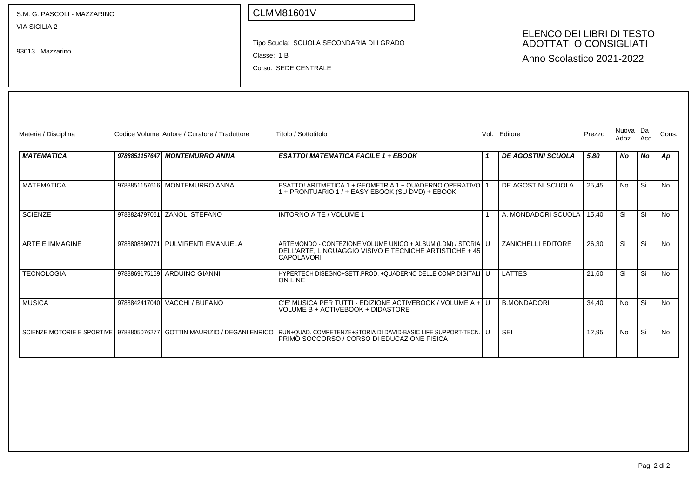S.M. G. PASCOLI - MAZZARINO

VIA SICILIA 2

93013 Mazzarino

### CLMM81601V

Tipo Scuola: SCUOLA SECONDARIA DI I GRADO

Classe: 1 B

Corso: SEDE CENTRALE

#### ELENCO DEI LIBRI DI TESTO ADOTTATI O CONSIGLIATI

Anno Scolastico 2021-2022

| Materia / Disciplina   |               | Codice Volume Autore / Curatore / Traduttore | Titolo / Sottotitolo                                                                                                                                                                            | Vol. | Editore                   | Prezzo | Nuova Da<br>Adoz. | Acq.      | Cons.     |
|------------------------|---------------|----------------------------------------------|-------------------------------------------------------------------------------------------------------------------------------------------------------------------------------------------------|------|---------------------------|--------|-------------------|-----------|-----------|
| <b>MATEMATICA</b>      |               | 9788851157647 MONTEMURRO ANNA                | <b>ESATTO! MATEMATICA FACILE 1 + EBOOK</b>                                                                                                                                                      |      | <b>DE AGOSTINI SCUOLA</b> | 5,80   | No.               | <b>No</b> | Ap        |
| <b>MATEMATICA</b>      |               | 9788851157616 MONTEMURRO ANNA                | ESATTO! ARITMETICA 1 + GEOMETRIA 1 + QUADERNO OPERATIVO   1<br>1 + PRONTUARIO 1 / + EASY EBOOK (SU DVD) + EBOOK                                                                                 |      | DE AGOSTINI SCUOLA        | 25,45  | No.               | Si        | <b>No</b> |
| <b>SCIENZE</b>         | 9788824797061 | <b>ZANOLI STEFANO</b>                        | INTORNO A TE / VOLUME 1                                                                                                                                                                         |      | A. MONDADORI SCUOLA       | 15.40  | Si                | Si        | <b>No</b> |
| <b>ARTE E IMMAGINE</b> | 9788808890771 | PULVIRENTI EMANUELA                          | ARTEMONDO - CONFEZIONE VOLUME UNICO + ALBUM (LDM) / STORIA U<br>DELL'ARTE, LINGUAGGIO VISIVO E TECNICHE ARTISTICHE + 45<br>CAPOLAVORI                                                           |      | <b>ZANICHELLI EDITORE</b> | 26,30  | Si                | Si        | <b>No</b> |
| <b>TECNOLOGIA</b>      |               | 9788869175169 ARDUINO GIANNI                 | HYPERTECH DISEGNO+SETT.PROD. +QUADERNO DELLE COMP.DIGITALI U<br>ON LINE                                                                                                                         |      | LATTES                    | 21,60  | Si                | Si        | <b>No</b> |
| <b>MUSICA</b>          |               | 9788842417040 VACCHI / BUFANO                | C'E' MUSICA PER TUTTI - EDIZIONE ACTIVEBOOK / VOLUME A + U<br>VOLUME B + ACTIVEBOOK + DIDASTORE                                                                                                 |      | <b>B.MONDADORI</b>        | 34.40  | <b>No</b>         | Si        | <b>No</b> |
|                        |               |                                              | SCIENZE MOTORIE E SPORTIVE I 9788805076277 I GOTTIN MAURIZIO / DEGANI ENRICO I RUN+QUAD. COMPETENZE+STORIA DI DAVID-BASIC LIFE SUPPORT-TECN. I U<br>PRIMO SOCCORSO / CORSO DI EDUCAZIONE FISICA |      | <b>SEI</b>                | 12.95  | No.               | Si        | No        |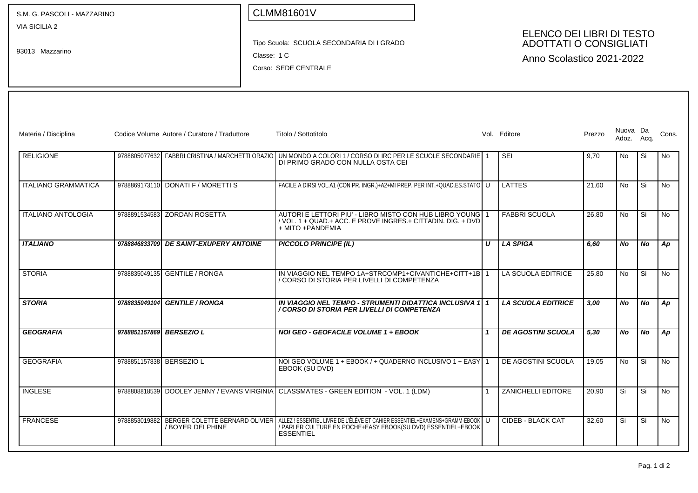| S.M. G. PASCOLI - MAZZARINO      |                          |                                                                                                                                                                             | <b>CLMM81601V</b>                                                                                                                                                 |                  |                           |        |                   |           |           |
|----------------------------------|--------------------------|-----------------------------------------------------------------------------------------------------------------------------------------------------------------------------|-------------------------------------------------------------------------------------------------------------------------------------------------------------------|------------------|---------------------------|--------|-------------------|-----------|-----------|
| VIA SICILIA 2<br>93013 Mazzarino |                          | ELENCO DEI LIBRI DI TESTO<br><b>ADOTTATI O CONSIGLIATI</b><br>Tipo Scuola: SCUOLA SECONDARIA DI I GRADO<br>Classe: 1 C<br>Anno Scolastico 2021-2022<br>Corso: SEDE CENTRALE |                                                                                                                                                                   |                  |                           |        |                   |           |           |
| Materia / Disciplina             |                          | Codice Volume Autore / Curatore / Traduttore                                                                                                                                | Titolo / Sottotitolo                                                                                                                                              |                  | Vol. Editore              | Prezzo | Nuova Da<br>Adoz. | Acq.      | Cons.     |
| <b>RELIGIONE</b>                 |                          | 9788805077632 FABBRI CRISTINA / MARCHETTI ORAZIO                                                                                                                            | UN MONDO A COLORI 1 / CORSO DI IRC PER LE SCUOLE SECONDARIE 1<br>DI PRIMO GRADO CON NULLA OSTA CEI                                                                |                  | <b>SEI</b>                | 9,70   | No                | Si        | No        |
| <b>ITALIANO GRAMMATICA</b>       |                          | 9788869173110 DONATI F / MORETTI S                                                                                                                                          | FACILE A DIRSI VOL.A1 (CON PR. INGR.)+A2+MI PREP. PER INT.+QUAD.ES.STATO   U                                                                                      |                  | <b>LATTES</b>             | 21,60  | <b>No</b>         | Si        | <b>No</b> |
| <b>ITALIANO ANTOLOGIA</b>        |                          | 9788891534583 ZORDAN ROSETTA                                                                                                                                                | AUTORI E LETTORI PIU' - LIBRO MISTO CON HUB LIBRO YOUNG 1<br>/ VOL. 1 + QUAD.+ ACC. E PROVE INGRES.+ CITTADIN. DIG. + DVD<br>+ MITO + PANDEMIA                    |                  | <b>FABBRI SCUOLA</b>      | 26,80  | No                | Si        | No        |
| <b>ITALIANO</b>                  |                          | 9788846833709 DE SAINT-EXUPERY ANTOINE                                                                                                                                      | <b>PICCOLO PRINCIPE (IL)</b>                                                                                                                                      | $\boldsymbol{U}$ | <b>LA SPIGA</b>           | 6,60   | No                | <b>No</b> | Ap        |
| <b>STORIA</b>                    |                          | 9788835049135 GENTILE / RONGA                                                                                                                                               | IN VIAGGIO NEL TEMPO 1A+STRCOMP1+CIVANTICHE+CITT+1B 1<br>/ CORSO DI STORIA PER LIVELLI DI COMPETENZA                                                              |                  | LA SCUOLA EDITRICE        | 25,80  | <b>No</b>         | Si        | <b>No</b> |
| <b>STORIA</b>                    |                          | 9788835049104 GENTILE / RONGA                                                                                                                                               | IN VIAGGIO NEL TEMPO - STRUMENTI DIDATTICA INCLUSIVA 1 1<br>/ CORSO DI STORIA PER LIVELLI DI COMPETENZA                                                           |                  | <b>LA SCUOLA EDITRICE</b> | 3,00   | No                | No        | Ap        |
| <b>GEOGRAFIA</b>                 | 9788851157869 BERSEZIO L |                                                                                                                                                                             | <b>NOI GEO - GEOFACILE VOLUME 1 + EBOOK</b>                                                                                                                       | $\mathbf{1}$     | <b>DE AGOSTINI SCUOLA</b> | 5,30   | No                | No        | Ap        |
| <b>GEOGRAFIA</b>                 | 9788851157838 BERSEZIO L |                                                                                                                                                                             | NOI GEO VOLUME 1 + EBOOK / + QUADERNO INCLUSIVO 1 + EASY 1<br>EBOOK (SU DVD)                                                                                      |                  | DE AGOSTINI SCUOLA        | 19,05  | No                | Si        | No        |
| <b>INGLESE</b>                   |                          |                                                                                                                                                                             | 9788808818539 DOOLEY JENNY / EVANS VIRGINIA CLASSMATES - GREEN EDITION - VOL. 1 (LDM)                                                                             |                  | <b>ZANICHELLI EDITORE</b> | 20,90  | Si                | Si        | No        |
| <b>FRANCESE</b>                  | 9788853019882            | BERGER COLETTE BERNARD OLIVIER<br>/ BOYER DELPHINE                                                                                                                          | ALLEZ! ESSENTIEL LIVRE DE L'ÉLÈVE ET CAHIER ESSENTIEL+EXAMENS+GRAMM-EBOOK   U<br>/ PARLER CULTURE EN POCHE+EASY EBOOK(SU DVD) ESSENTIEL+EBOOK<br><b>ESSENTIEL</b> |                  | <b>CIDEB - BLACK CAT</b>  | 32,60  | Si                | Si        | No        |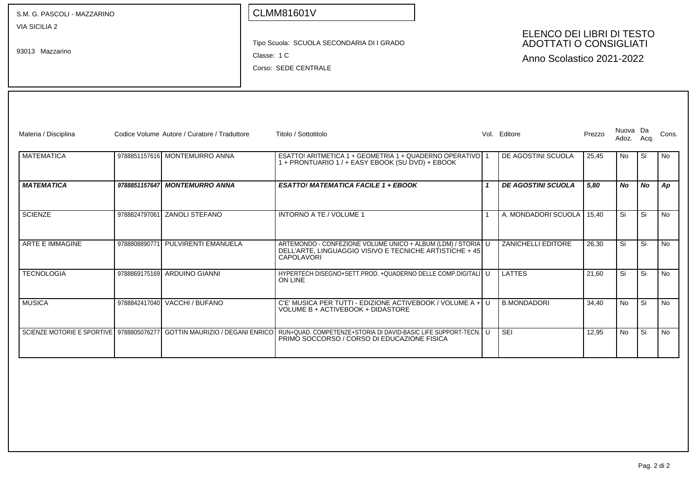| S.M. G. PASCOLI - MAZZARINO                                              |  |                                              |  | <b>CLMM81601V</b>                                                                                                                            |              |                                                                                         |        |                        |    |           |
|--------------------------------------------------------------------------|--|----------------------------------------------|--|----------------------------------------------------------------------------------------------------------------------------------------------|--------------|-----------------------------------------------------------------------------------------|--------|------------------------|----|-----------|
| VIA SICILIA 2<br>93013 Mazzarino                                         |  |                                              |  | Tipo Scuola: SCUOLA SECONDARIA DI I GRADO<br>Classe: 1 C<br>Corso: SEDE CENTRALE                                                             |              | ELENCO DEI LIBRI DI TESTO<br><b>ADOTTATI O CONSIGLIATI</b><br>Anno Scolastico 2021-2022 |        |                        |    |           |
| Materia / Disciplina                                                     |  | Codice Volume Autore / Curatore / Traduttore |  | Titolo / Sottotitolo                                                                                                                         |              | Vol. Editore                                                                            | Prezzo | Nuova Da<br>Adoz. Acq. |    | Cons.     |
| <b>MATEMATICA</b>                                                        |  | 9788851157616 MONTEMURRO ANNA                |  | ESATTO! ARITMETICA 1 + GEOMETRIA 1 + QUADERNO OPERATIVO 1<br>1 + PRONTUARIO 1 / + EASY EBOOK (SU DVD) + EBOOK                                |              | DE AGOSTINI SCUOLA                                                                      | 25,45  | No                     | Si | No        |
| <b>MATEMATICA</b>                                                        |  | 9788851157647 MONTEMURRO ANNA                |  | <b>ESATTO! MATEMATICA FACILE 1 + EBOOK</b>                                                                                                   | $\mathbf{1}$ | <b>DE AGOSTINI SCUOLA</b>                                                               | 5,80   | No                     | No | Ap        |
| <b>SCIENZE</b>                                                           |  | 9788824797061 ZANOLI STEFANO                 |  | <b>INTORNO A TE / VOLUME 1</b>                                                                                                               |              | A. MONDADORI SCUOLA                                                                     | 15.40  | Si                     | Si | No        |
| ARTE E IMMAGINE                                                          |  | 9788808890771 PULVIRENTI EMANUELA            |  | ARTEMONDO - CONFEZIONE VOLUME UNICO + ALBUM (LDM) / STORIA U<br>DELL'ARTE, LINGUAGGIO VISIVO E TECNICHE ARTISTICHE + 45<br><b>CAPOLAVORI</b> |              | ZANICHELLI EDITORE                                                                      | 26.30  | Si                     | Si | <b>No</b> |
| <b>TECNOLOGIA</b>                                                        |  | 9788869175169 ARDUINO GIANNI                 |  | HYPERTECH DISEGNO+SETT.PROD. +QUADERNO DELLE COMP.DIGITALI U<br><b>ON LINE</b>                                                               |              | <b>LATTES</b>                                                                           | 21.60  | Si                     | Si | No        |
| <b>MUSICA</b>                                                            |  | 9788842417040 VACCHI / BUFANO                |  | C'E' MUSICA PER TUTTI - EDIZIONE ACTIVEBOOK / VOLUME A + U<br>VOLUME B + ACTIVEBOOK + DIDASTORE                                              |              | <b>B.MONDADORI</b>                                                                      | 34.40  | <b>No</b>              | Si | No.       |
| SCIENZE MOTORIE E SPORTIVE 9788805076277 GOTTIN MAURIZIO / DEGANI ENRICO |  |                                              |  | RUN+QUAD. COMPETENZE+STORIA DI DAVID-BASIC LIFE SUPPORT-TECN. U<br>PRIMO SOCCORSO / CORSO DI EDUCAZIONE FISICA                               |              | SEI                                                                                     | 12.95  | No.                    | Si | No.       |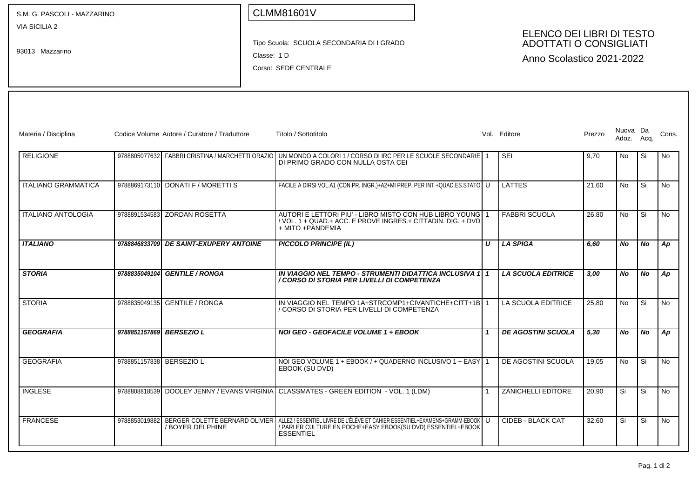| S.M. G. PASCOLI - MAZZARINO             |                                                                                  |                                              | <b>CLMM81601V</b>                                                                                                                                                                                |  |                  |                           |                                                                                         |                        |           |           |  |  |  |  |  |  |
|-----------------------------------------|----------------------------------------------------------------------------------|----------------------------------------------|--------------------------------------------------------------------------------------------------------------------------------------------------------------------------------------------------|--|------------------|---------------------------|-----------------------------------------------------------------------------------------|------------------------|-----------|-----------|--|--|--|--|--|--|
| <b>VIA SICILIA 2</b><br>93013 Mazzarino | Tipo Scuola: SCUOLA SECONDARIA DI I GRADO<br>Classe: 1 D<br>Corso: SEDE CENTRALE |                                              |                                                                                                                                                                                                  |  |                  |                           | ELENCO DEI LIBRI DI TESTO<br><b>ADOTTATI O CONSIGLIATI</b><br>Anno Scolastico 2021-2022 |                        |           |           |  |  |  |  |  |  |
| Materia / Disciplina                    |                                                                                  | Codice Volume Autore / Curatore / Traduttore | Titolo / Sottotitolo                                                                                                                                                                             |  |                  | Vol. Editore              | Prezzo                                                                                  | Nuova Da<br>Adoz. Acq. |           | Cons.     |  |  |  |  |  |  |
| <b>RELIGIONE</b>                        |                                                                                  |                                              | 9788805077632 FABBRI CRISTINA / MARCHETTI ORAZIO UN MONDO A COLORI 1 / CORSO DI IRC PER LE SCUOLE SECONDARIE 1<br>DI PRIMO GRADO CON NULLA OSTA CEI                                              |  |                  | <b>SEI</b>                | 9,70                                                                                    | No                     | Si        | No        |  |  |  |  |  |  |
| <b>ITALIANO GRAMMATICA</b>              |                                                                                  | 9788869173110 DONATI F / MORETTI S           | FACILE A DIRSI VOL.A1 (CON PR. INGR.)+A2+MI PREP. PER INT.+QUAD.ES.STATO   U                                                                                                                     |  |                  | LATTES                    | 21,60                                                                                   | No                     | Si        | No        |  |  |  |  |  |  |
| <b>ITALIANO ANTOLOGIA</b>               |                                                                                  | 9788891534583 ZORDAN ROSETTA                 | AUTORI E LETTORI PIU' - LIBRO MISTO CON HUB LIBRO YOUNG 1<br>/ VOL. 1 + QUAD.+ ACC. E PROVE INGRES.+ CITTADIN. DIG. + DVD<br>+ MITO + PANDEMIA                                                   |  |                  | <b>FABBRI SCUOLA</b>      | 26,80                                                                                   | No                     | Si        | <b>No</b> |  |  |  |  |  |  |
| <b>ITALIANO</b>                         |                                                                                  | 9788846833709 DE SAINT-EXUPERY ANTOINE       | <b>PICCOLO PRINCIPE (IL)</b>                                                                                                                                                                     |  | $\boldsymbol{U}$ | <b>LA SPIGA</b>           | 6.60                                                                                    | No.                    | <b>No</b> | Ap        |  |  |  |  |  |  |
| <b>STORIA</b>                           |                                                                                  | 9788835049104 GENTILE / RONGA                | IN VIAGGIO NEL TEMPO - STRUMENTI DIDATTICA INCLUSIVA 1 1<br>/ CORSO DI STORIA PER LIVELLI DI COMPETENZA                                                                                          |  |                  | <b>LA SCUOLA EDITRICE</b> | 3,00                                                                                    | No.                    | No        | Ap        |  |  |  |  |  |  |
| <b>STORIA</b>                           |                                                                                  | 9788835049135 GENTILE / RONGA                | IN VIAGGIO NEL TEMPO 1A+STRCOMP1+CIVANTICHE+CITT+1B 1<br>/ CORSO DI STORIA PER LIVELLI DI COMPETENZA                                                                                             |  |                  | LA SCUOLA EDITRICE        | 25,80                                                                                   | <b>No</b>              | Si        | <b>No</b> |  |  |  |  |  |  |
| <b>GEOGRAFIA</b>                        |                                                                                  | 9788851157869 BERSEZIO L                     | <b>NOI GEO - GEOFACILE VOLUME 1 + EBOOK</b>                                                                                                                                                      |  |                  | <b>DE AGOSTINI SCUOLA</b> | 5,30                                                                                    | No                     | <b>No</b> | Ap        |  |  |  |  |  |  |
| <b>GEOGRAFIA</b>                        | 9788851157838 BERSEZIO L                                                         |                                              | NOI GEO VOLUME 1 + EBOOK / + QUADERNO INCLUSIVO 1 + EASY 1<br>EBOOK (SU DVD)                                                                                                                     |  |                  | DE AGOSTINI SCUOLA        | 19,05                                                                                   | <b>No</b>              | Si        | No        |  |  |  |  |  |  |
| <b>INGLESE</b>                          |                                                                                  |                                              | 9788808818539 DOOLEY JENNY / EVANS VIRGINIA CLASSMATES - GREEN EDITION - VOL. 1 (LDM)                                                                                                            |  |                  | <b>ZANICHELLI EDITORE</b> | 20,90                                                                                   | Si                     | Si        | No        |  |  |  |  |  |  |
| <b>FRANCESE</b>                         | 9788853019882                                                                    | / BOYER DELPHINE                             | │BERGER COLETTE BERNARD OLIVIER│ALLEZ ! ESSENTIEL LIVRE DE L'ÉLÈVE ET CAHIER ESSENTIEL+EXAMENS+GRAMM-EBOOK│U<br>/ PARLER CULTURE EN POCHE+EASY EBOOK(SU DVD) ESSENTIEL+EBOOK<br><b>ESSENTIEL</b> |  |                  | CIDEB - BLACK CAT         | 32,60                                                                                   | Si                     | Si        | No        |  |  |  |  |  |  |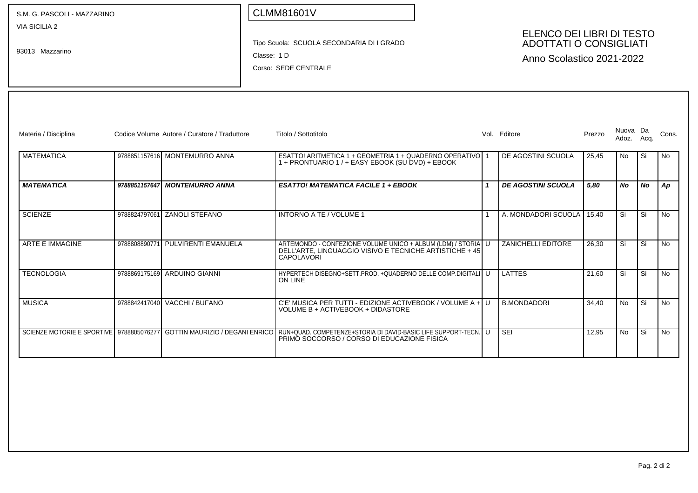| S.M. G. PASCOLI - MAZZARINO              |               |                                              |             | <b>CLMM81601V</b>                                                                                                                            |  |                                                                                         |        |            |           |           |
|------------------------------------------|---------------|----------------------------------------------|-------------|----------------------------------------------------------------------------------------------------------------------------------------------|--|-----------------------------------------------------------------------------------------|--------|------------|-----------|-----------|
| <b>VIA SICILIA 2</b><br>93013 Mazzarino  |               |                                              | Classe: 1 D | Tipo Scuola: SCUOLA SECONDARIA DI I GRADO<br>Corso: SEDE CENTRALE                                                                            |  | ELENCO DEI LIBRI DI TESTO<br><b>ADOTTATI O CONSIGLIATI</b><br>Anno Scolastico 2021-2022 |        |            |           |           |
|                                          |               |                                              |             |                                                                                                                                              |  |                                                                                         |        | Nuova Da   |           |           |
| Materia / Disciplina                     |               | Codice Volume Autore / Curatore / Traduttore |             | Titolo / Sottotitolo                                                                                                                         |  | Vol. Editore                                                                            | Prezzo | Adoz. Acq. |           | Cons.     |
| <b>MATEMATICA</b>                        |               | 9788851157616 MONTEMURRO ANNA                |             | ESATTO! ARITMETICA 1 + GEOMETRIA 1 + QUADERNO OPERATIVO 1<br>1 + PRONTUARIO 1 / + EASY EBOOK (SU DVD) + EBOOK                                |  | DE AGOSTINI SCUOLA                                                                      | 25,45  | No.        | Si        | No.       |
| <b>MATEMATICA</b>                        | 9788851157647 | <b>MONTEMURRO ANNA</b>                       |             | <b>ESATTO! MATEMATICA FACILE 1 + EBOOK</b>                                                                                                   |  | <b>DE AGOSTINI SCUOLA</b>                                                               | 5.80   | <b>No</b>  | <b>No</b> | Ap        |
| <b>SCIENZE</b>                           | 9788824797061 | <b>ZANOLI STEFANO</b>                        |             | INTORNO A TE / VOLUME 1                                                                                                                      |  | A. MONDADORI SCUOLA                                                                     | 15.40  | Si         | Si        | No.       |
| ARTE E IMMAGINE                          | 9788808890771 | PULVIRENTI EMANUELA                          |             | ARTEMONDO - CONFEZIONE VOLUME UNICO + ALBUM (LDM) / STORIA U<br>DELL'ARTE. LINGUAGGIO VISIVO E TECNICHE ARTISTICHE + 45<br><b>CAPOLAVORI</b> |  | <b>ZANICHELLI EDITORE</b>                                                               | 26.30  | Si         | Si        | <b>No</b> |
| <b>TECNOLOGIA</b>                        |               | 9788869175169 ARDUINO GIANNI                 |             | HYPERTECH DISEGNO+SETT.PROD. +QUADERNO DELLE COMP.DIGITALI U<br>ON LINE                                                                      |  | <b>LATTES</b>                                                                           | 21.60  | Si         | Si        | No.       |
| <b>MUSICA</b>                            |               | 9788842417040 VACCHI / BUFANO                |             | C'E' MUSICA PER TUTTI - EDIZIONE ACTIVEBOOK / VOLUME A + U<br>VOLUME B + ACTIVEBOOK + DIDASTORE                                              |  | <b>B.MONDADORI</b>                                                                      | 34.40  | <b>No</b>  | Si        | <b>No</b> |
| SCIENZE MOTORIE E SPORTIVE 9788805076277 |               | <b>GOTTIN MAURIZIO / DEGANI ENRICO</b>       |             | RUN+QUAD, COMPETENZE+STORIA DI DAVID-BASIC LIFE SUPPORT-TECN, U<br>PRIMO SOCCORSO / CORSO DI EDUCAZIONE FISICA                               |  | SEI                                                                                     | 12.95  | No         | Si        | No.       |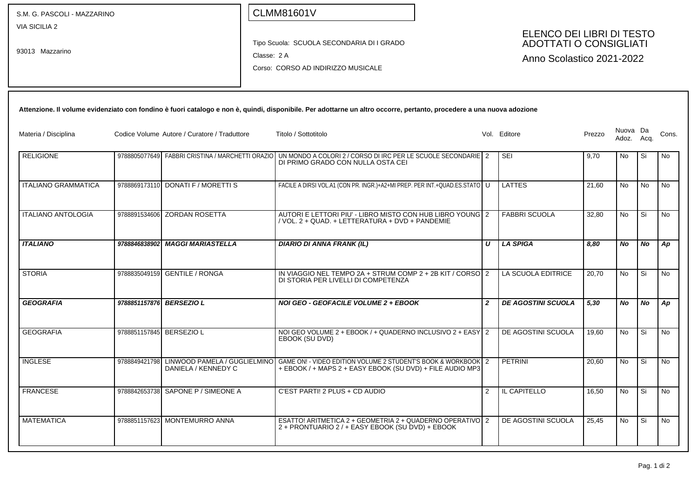| S.M. G. PASCOLI - MAZZARINO             |                          |                                                     | <b>CLMM81601V</b>                                                                                                                                                     |                  |                                                                                         |        |                   |           |       |
|-----------------------------------------|--------------------------|-----------------------------------------------------|-----------------------------------------------------------------------------------------------------------------------------------------------------------------------|------------------|-----------------------------------------------------------------------------------------|--------|-------------------|-----------|-------|
| <b>VIA SICILIA 2</b><br>93013 Mazzarino |                          |                                                     | Tipo Scuola: SCUOLA SECONDARIA DI I GRADO<br>Classe: 2 A<br>Corso: CORSO AD INDIRIZZO MUSICALE                                                                        |                  | ELENCO DEI LIBRI DI TESTO<br><b>ADOTTATI O CONSIGLIATI</b><br>Anno Scolastico 2021-2022 |        |                   |           |       |
|                                         |                          |                                                     | Attenzione. Il volume evidenziato con fondino è fuori catalogo e non è, quindi, disponibile. Per adottarne un altro occorre, pertanto, procedere a una nuova adozione |                  |                                                                                         |        |                   |           |       |
| Materia / Disciplina                    |                          | Codice Volume Autore / Curatore / Traduttore        | Titolo / Sottotitolo                                                                                                                                                  |                  | Vol. Editore                                                                            | Prezzo | Nuova Da<br>Adoz. | Acq.      | Cons. |
| <b>RELIGIONE</b>                        |                          | 9788805077649    FABBRI CRISTINA / MARCHETTI ORAZIO | UN MONDO A COLORI 2 / CORSO DI IRC PER LE SCUOLE SECONDARIE 2<br>DI PRIMO GRADO CON NULLA OSTA CEI                                                                    |                  | <b>SEI</b>                                                                              | 9,70   | N <sub>o</sub>    | Si        | No.   |
| <b>ITALIANO GRAMMATICA</b>              |                          | 9788869173110 DONATI F / MORETTI S                  | FACILE A DIRSI VOL.A1 (CON PR. INGR.)+A2+MI PREP. PER INT.+QUAD.ES.STATO U                                                                                            |                  | <b>LATTES</b>                                                                           | 21,60  | No                | <b>No</b> | No    |
| <b>ITALIANO ANTOLOGIA</b>               | 9788891534606            | <b>ZORDAN ROSETTA</b>                               | AUTORI E LETTORI PIU' - LIBRO MISTO CON HUB LIBRO YOUNG 2<br>/ VOL. 2 + QUAD. + LETTERATURA + DVD + PANDEMIE                                                          |                  | <b>FABBRI SCUOLA</b>                                                                    | 32,80  | No                | Si        | No    |
| <b>ITALIANO</b>                         | 9788846838902            | <b>MAGGI MARIASTELLA</b>                            | <b>DIARIO DI ANNA FRANK (IL)</b>                                                                                                                                      | $\boldsymbol{U}$ | <b>LA SPIGA</b>                                                                         | 8,80   | No                | No        | Ap    |
| <b>STORIA</b>                           | 9788835049159            | <b>GENTILE / RONGA</b>                              | IN VIAGGIO NEL TEMPO 2A + STRUM COMP 2 + 2B KIT / CORSO 2<br>DI STORIA PER LIVELLI DI COMPETENZA                                                                      |                  | LA SCUOLA EDITRICE                                                                      | 20,70  | No                | Si        | No    |
| <b>GEOGRAFIA</b>                        | 9788851157876 BERSEZIO L |                                                     | NOI GEO - GEOFACILE VOLUME 2 + EBOOK                                                                                                                                  | $\overline{2}$   | <b>DE AGOSTINI SCUOLA</b>                                                               | 5,30   | No                | No        | Ap    |
| <b>GEOGRAFIA</b>                        | 9788851157845 BERSEZIO L |                                                     | NOI GEO VOLUME 2 + EBOOK / + QUADERNO INCLUSIVO 2 + EASY 2<br>EBOOK (SU DVD)                                                                                          |                  | DE AGOSTINI SCUOLA                                                                      | 19,60  | No                | Si        | No.   |
| <b>INGLESE</b>                          | 9788849421798            | LINWOOD PAMELA / GUGLIELMINO<br>DANIELA / KENNEDY C | GAME ON! - VIDEO EDITION VOLUME 2 STUDENT'S BOOK & WORKBOOK 2<br>+ EBOOK / + MAPS 2 + EASY EBOOK (SU DVD) + FILE AUDIO MP3                                            |                  | PETRINI                                                                                 | 20,60  | No                | Si        | No    |
| <b>FRANCESE</b>                         |                          | 9788842653738 SAPONE P / SIMEONE A                  | C'EST PARTI! 2 PLUS + CD AUDIO                                                                                                                                        | 2                | IL CAPITELLO                                                                            | 16,50  | No                | Si        | No.   |
| <b>MATEMATICA</b>                       |                          | 9788851157623 MONTEMURRO ANNA                       | ESATTO! ARITMETICA 2 + GEOMETRIA 2 + QUADERNO OPERATIVO 2<br>2 + PRONTUARIO 2 / + EASY EBOOK (SU DVD) + EBOOK                                                         |                  | DE AGOSTINI SCUOLA                                                                      | 25,45  | No.               | Si        | No.   |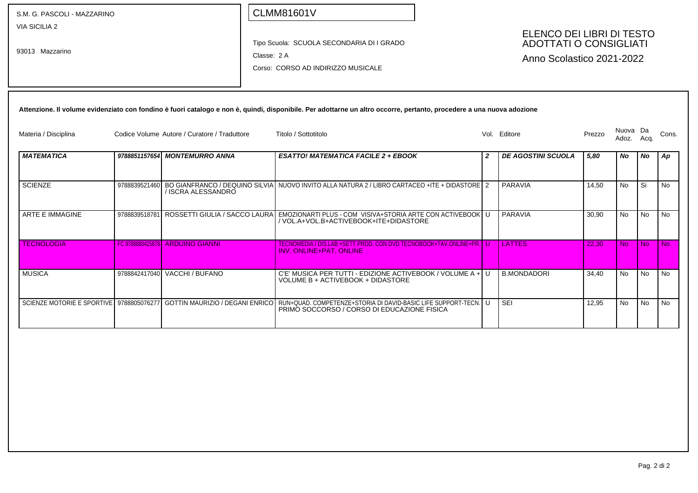| S.M. G. PASCOLI - MAZZARINO             |               |                                              | <b>CLMM81601V</b>                                                                                                                                                                              |   |                                                                                         |        |                   |           |           |
|-----------------------------------------|---------------|----------------------------------------------|------------------------------------------------------------------------------------------------------------------------------------------------------------------------------------------------|---|-----------------------------------------------------------------------------------------|--------|-------------------|-----------|-----------|
| <b>VIA SICILIA 2</b><br>93013 Mazzarino |               | Classe: 2 A                                  | Tipo Scuola: SCUOLA SECONDARIA DI I GRADO<br>Corso: CORSO AD INDIRIZZO MUSICALE                                                                                                                |   | ELENCO DEI LIBRI DI TESTO<br><b>ADOTTATI O CONSIGLIATI</b><br>Anno Scolastico 2021-2022 |        |                   |           |           |
|                                         |               |                                              | Attenzione. Il volume evidenziato con fondino è fuori catalogo e non è, quindi, disponibile. Per adottarne un altro occorre, pertanto, procedere a una nuova adozione                          |   |                                                                                         |        |                   |           |           |
| Materia / Disciplina                    |               | Codice Volume Autore / Curatore / Traduttore | Titolo / Sottotitolo                                                                                                                                                                           |   | Vol. Editore                                                                            | Prezzo | Nuova Da<br>Adoz. | Acq.      | Cons.     |
| <b>MATEMATICA</b>                       |               | 9788851157654 MONTEMURRO ANNA                | <b>ESATTO! MATEMATICA FACILE 2 + EBOOK</b>                                                                                                                                                     | 2 | <b>DE AGOSTINI SCUOLA</b>                                                               | 5,80   | No                | No        | Ap        |
| <b>SCIENZE</b>                          | 9788839521460 | / ISCRA ALESSANDRO                           | BO GIANFRANCO / DEQUINO SILVIA NUOVO INVITO ALLA NATURA 2 / LIBRO CARTACEO +ITE + DIDASTORE 2                                                                                                  |   | <b>PARAVIA</b>                                                                          | 14,50  | <b>No</b>         | Si        | No.       |
| <b>ARTE E IMMAGINE</b>                  | 9788839518781 |                                              | │ROSSETTI GIULIA / SACCO LAURA│EMOZIONARTI PLUS - COM VISIVA+STORIA ARTE CON ACTIVEBOOK│U<br>/ VOL.A+VOL.B+ACTIVEBOOK+ITE+DIDASTORE                                                            |   | PARAVIA                                                                                 | 30.90  | <b>No</b>         | <b>No</b> | <b>No</b> |
| <b>TECNOLOGIA</b>                       |               | <b>FC 9788880425878 ARDUINO GIANNI</b>       | TECNOMEDIA / DIS.LAB.+SETT.PROD. CON DVD TECNOBOOK+TAV.ONLINE+PR. U<br><b>INV. ONLINE+PAT. ONLINE</b>                                                                                          |   | <b>LATTES</b>                                                                           | 22.30  | <b>No</b>         | <b>No</b> | No.       |
| <b>MUSICA</b>                           |               | 9788842417040 VACCHI / BUFANO                | C'E' MUSICA PER TUTTI - EDIZIONE ACTIVEBOOK / VOLUME A + U<br>VOLUME B + ACTIVEBOOK + DIDASTORE                                                                                                |   | <b>B.MONDADORI</b>                                                                      | 34.40  | <b>No</b>         | <b>No</b> | <b>No</b> |
|                                         |               |                                              | SCIENZE MOTORIE E SPORTIVE I 9788805076277 I GOTTIN MAURIZIO / DEGANI ENRICO IRUN+QUAD. COMPETENZE+STORIA DI DAVID-BASIC LIFE SUPPORT-TECN. I U<br>PRIMO SOCCORSO / CORSO DI EDUCAZIONE FISICA |   | <b>SEI</b>                                                                              | 12,95  | <b>No</b>         | <b>No</b> | <b>No</b> |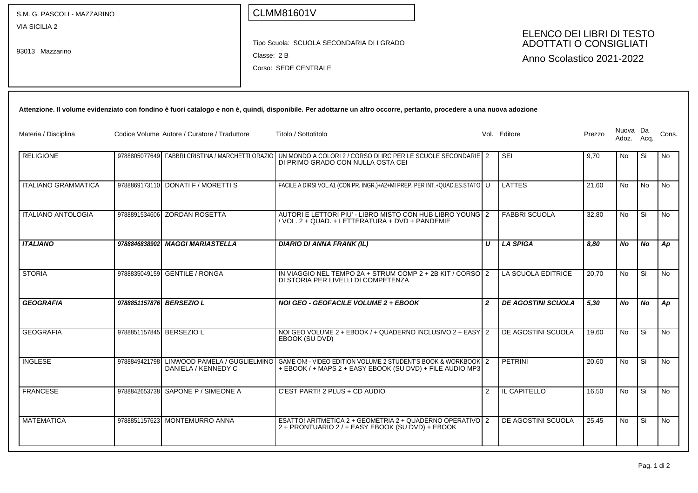| S.M. G. PASCOLI - MAZZARINO             |                          |                                                  | <b>CLMM81601V</b>                                                                                                                                                     |                |                                                                                         |        |                        |      |           |
|-----------------------------------------|--------------------------|--------------------------------------------------|-----------------------------------------------------------------------------------------------------------------------------------------------------------------------|----------------|-----------------------------------------------------------------------------------------|--------|------------------------|------|-----------|
| <b>VIA SICILIA 2</b><br>93013 Mazzarino |                          |                                                  | Tipo Scuola: SCUOLA SECONDARIA DI I GRADO<br>Classe: 2 B<br>Corso: SEDE CENTRALE                                                                                      |                | ELENCO DEI LIBRI DI TESTO<br><b>ADOTTATI O CONSIGLIATI</b><br>Anno Scolastico 2021-2022 |        |                        |      |           |
|                                         |                          |                                                  | Attenzione. Il volume evidenziato con fondino è fuori catalogo e non è, quindi, disponibile. Per adottarne un altro occorre, pertanto, procedere a una nuova adozione |                |                                                                                         |        |                        |      |           |
| Materia / Disciplina                    |                          | Codice Volume Autore / Curatore / Traduttore     | Titolo / Sottotitolo                                                                                                                                                  |                | Vol. Editore                                                                            | Prezzo | Nuova Da<br>Adoz. Acq. |      | Cons.     |
| <b>RELIGIONE</b>                        |                          | 9788805077649 FABBRI CRISTINA / MARCHETTI ORAZIO | UN MONDO A COLORI 2 / CORSO DI IRC PER LE SCUOLE SECONDARIE 2<br>DI PRIMO GRADO CON NULLA OSTA CEI                                                                    |                | <b>SEI</b>                                                                              | 9,70   | No                     | Si   | No        |
| <b>ITALIANO GRAMMATICA</b>              |                          | 9788869173110 DONATI F / MORETTI S               | FACILE A DIRSI VOL.A1 (CON PR. INGR.)+A2+MI PREP. PER INT.+QUAD.ES.STATO   U                                                                                          |                | LATTES                                                                                  | 21,60  | No                     | No   | No        |
| <b>ITALIANO ANTOLOGIA</b>               |                          | 9788891534606 ZORDAN ROSETTA                     | AUTORI E LETTORI PIU' - LIBRO MISTO CON HUB LIBRO YOUNG 2<br>/ VOL. 2 + QUAD. + LETTERATURA + DVD + PANDEMIE                                                          |                | <b>FABBRI SCUOLA</b>                                                                    | 32,80  | No                     | Si   | No        |
| <b>ITALIANO</b>                         |                          | 9788846838902 MAGGI MARIASTELLA                  | <b>DIARIO DI ANNA FRANK (IL)</b>                                                                                                                                      | U              | LA SPIGA                                                                                | 8,80   | No                     | No   | Ap        |
| <b>STORIA</b>                           |                          | 9788835049159 GENTILE / RONGA                    | IN VIAGGIO NEL TEMPO 2A + STRUM COMP $2 + 2B$ KIT / CORSO 2<br>DI STORIA PER LIVELLI DI COMPETENZA                                                                    |                | LA SCUOLA EDITRICE                                                                      | 20,70  | No                     | Si   | No        |
| <b>GEOGRAFIA</b>                        |                          | 9788851157876 BERSEZIO L                         | NOI GEO - GEOFACILE VOLUME 2 + EBOOK                                                                                                                                  | $\overline{2}$ | <b>DE AGOSTINI SCUOLA</b>                                                               | 5,30   | No                     | No   | Ap        |
| <b>GEOGRAFIA</b>                        | 9788851157845 BERSEZIO L |                                                  | NOI GEO VOLUME 2 + EBOOK / + QUADERNO INCLUSIVO 2 + EASY 2<br>EBOOK (SU DVD)                                                                                          |                | DE AGOSTINI SCUOLA                                                                      | 19,60  | No.                    | l Si | No        |
| <b>INGLESE</b>                          |                          | DANIELA / KENNEDY C                              | 9788849421798 LINWOOD PAMELA / GUGLIELMINO GAME ON! - VIDEO EDITION VOLUME 2 STUDENT'S BOOK & WORKBOOK 2<br>+ EBOOK / + MAPS 2 + EASY EBOOK (SU DVD) + FILE AUDIO MP3 |                | PETRINI                                                                                 | 20,60  | No                     | Si   | No        |
| <b>FRANCESE</b>                         |                          | 9788842653738 SAPONE P / SIMEONE A               | C'EST PARTI! 2 PLUS + CD AUDIO                                                                                                                                        | 2              | IL CAPITELLO                                                                            | 16,50  | No                     | Si.  | <b>No</b> |
| <b>MATEMATICA</b>                       |                          | 9788851157623 MONTEMURRO ANNA                    | ESATTO! ARITMETICA 2 + GEOMETRIA 2 + QUADERNO OPERATIVO 2<br>2 + PRONTUARIO 2 / + EASY EBOOK (SU DVD) + EBOOK                                                         |                | DE AGOSTINI SCUOLA                                                                      | 25,45  | <b>No</b>              | Si.  | <b>No</b> |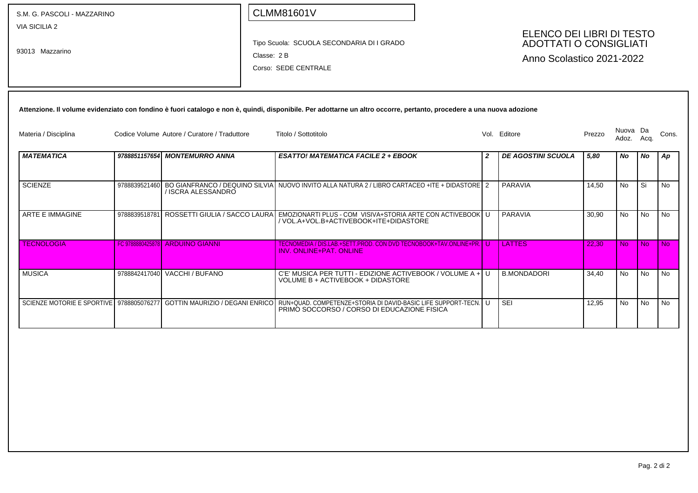| S.M. G. PASCOLI - MAZZARINO              |               |                                              |            | <b>CLMM81601V</b>                                                                                                                                                     |              |                                                                                         |        |                   |           |           |
|------------------------------------------|---------------|----------------------------------------------|------------|-----------------------------------------------------------------------------------------------------------------------------------------------------------------------|--------------|-----------------------------------------------------------------------------------------|--------|-------------------|-----------|-----------|
| <b>VIA SICILIA 2</b><br>93013 Mazzarino  |               |                                              | Classe: 2B | Tipo Scuola: SCUOLA SECONDARIA DI I GRADO<br>Corso: SEDE CENTRALE                                                                                                     |              | ELENCO DEI LIBRI DI TESTO<br><b>ADOTTATI O CONSIGLIATI</b><br>Anno Scolastico 2021-2022 |        |                   |           |           |
|                                          |               |                                              |            | Attenzione. Il volume evidenziato con fondino è fuori catalogo e non è, quindi, disponibile. Per adottarne un altro occorre, pertanto, procedere a una nuova adozione |              |                                                                                         |        |                   |           |           |
| Materia / Disciplina                     |               | Codice Volume Autore / Curatore / Traduttore |            | Titolo / Sottotitolo                                                                                                                                                  |              | Vol. Editore                                                                            | Prezzo | Nuova Da<br>Adoz. | Acq.      | Cons.     |
| <b>MATEMATICA</b>                        |               | 9788851157654 MONTEMURRO ANNA                |            | <b>ESATTO! MATEMATICA FACILE 2 + EBOOK</b>                                                                                                                            | $\mathbf{2}$ | <b>DE AGOSTINI SCUOLA</b>                                                               | 5,80   | No                | No        | Ap        |
| <b>SCIENZE</b>                           | 9788839521460 | / ISCRA ALESSANDRO                           |            | BO GIANFRANCO / DEQUINO SILVIA NUOVO INVITO ALLA NATURA 2 / LIBRO CARTACEO +ITE + DIDASTORE   2                                                                       |              | PARAVIA                                                                                 | 14,50  | <b>No</b>         | Si        | <b>No</b> |
| ARTE E IMMAGINE                          | 9788839518781 | ROSSETTI GIULIA / SACCO LAURA                |            | EMOZIONARTI PLUS - COM VISIVA+STORIA ARTE CON ACTIVEBOOK U<br>/ VOL.A+VOL.B+ACTIVEBOOK+ITE+DIDASTORE                                                                  |              | <b>PARAVIA</b>                                                                          | 30,90  | <b>No</b>         | <b>No</b> | <b>No</b> |
| <b>TECNOLOGIA</b>                        |               | <b>FC 9788880425878 ARDUINO GIANNI</b>       |            | TECNOMEDIA / DIS.LAB.+SETT.PROD. CON DVD TECNOBOOK+TAV.ONLINE+PR. U<br><b>INV. ONLINE+PAT. ONLINE</b>                                                                 |              | <b>LATTES</b>                                                                           | 22.30  | <b>No</b>         | <b>No</b> | No        |
| <b>MUSICA</b>                            |               | 9788842417040 VACCHI / BUFANO                |            | C'E' MUSICA PER TUTTI - EDIZIONE ACTIVEBOOK / VOLUME A + U<br>VOLUME B + ACTIVEBOOK + DIDASTORE                                                                       |              | <b>B.MONDADORI</b>                                                                      | 34.40  | <b>No</b>         | <b>No</b> | <b>No</b> |
| SCIENZE MOTORIE E SPORTIVE 9788805076277 |               |                                              |            | GOTTIN MAURIZIO / DEGANI ENRICO   RUN+QUAD. COMPETENZE+STORIA DI DAVID-BASIC LIFE SUPPORT-TECN.   U<br>PRIMO SOCCORSO / CORSO DI EDUCAZIONE FISICA                    |              | <b>SEI</b>                                                                              | 12,95  | No                | <b>No</b> | <b>No</b> |
|                                          |               |                                              |            |                                                                                                                                                                       |              |                                                                                         |        |                   |           |           |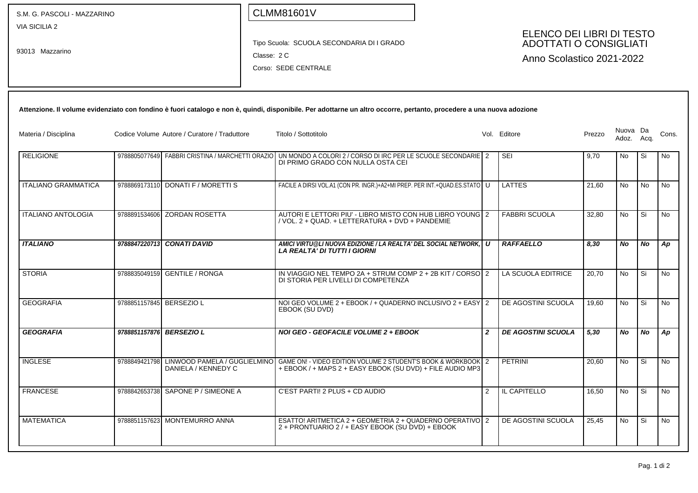| S.M. G. PASCOLI - MAZZARINO             |                          |                                                  |             | <b>CLMM81601V</b>                                                                                                                                                     |                |                                                                                         |        |                        |           |           |
|-----------------------------------------|--------------------------|--------------------------------------------------|-------------|-----------------------------------------------------------------------------------------------------------------------------------------------------------------------|----------------|-----------------------------------------------------------------------------------------|--------|------------------------|-----------|-----------|
| <b>VIA SICILIA 2</b><br>93013 Mazzarino |                          |                                                  | Classe: 2 C | Tipo Scuola: SCUOLA SECONDARIA DI I GRADO<br>Corso: SEDE CENTRALE                                                                                                     |                | ELENCO DEI LIBRI DI TESTO<br><b>ADOTTATI O CONSIGLIATI</b><br>Anno Scolastico 2021-2022 |        |                        |           |           |
|                                         |                          |                                                  |             | Attenzione. Il volume evidenziato con fondino è fuori catalogo e non è, quindi, disponibile. Per adottarne un altro occorre, pertanto, procedere a una nuova adozione |                |                                                                                         |        |                        |           |           |
| Materia / Disciplina                    |                          | Codice Volume Autore / Curatore / Traduttore     |             | Titolo / Sottotitolo                                                                                                                                                  |                | Vol. Editore                                                                            | Prezzo | Nuova Da<br>Adoz. Acq. |           | Cons.     |
| <b>RELIGIONE</b>                        |                          | 9788805077649 FABBRI CRISTINA / MARCHETTI ORAZIO |             | UN MONDO A COLORI 2 / CORSO DI IRC PER LE SCUOLE SECONDARIE 2<br>DI PRIMO GRADO CON NULLA OSTA CEI                                                                    |                | <b>SEI</b>                                                                              | 9,70   | No                     | Si        | No        |
| <b>ITALIANO GRAMMATICA</b>              |                          | 9788869173110 DONATI F / MORETTI S               |             | FACILE A DIRSI VOL.A1 (CON PR. INGR.)+A2+MI PREP. PER INT.+QUAD.ES.STATO   U                                                                                          |                | LATTES                                                                                  | 21,60  | No                     | No        | No        |
| <b>ITALIANO ANTOLOGIA</b>               |                          | 9788891534606 ZORDAN ROSETTA                     |             | AUTORI E LETTORI PIU' - LIBRO MISTO CON HUB LIBRO YOUNG 2<br>/ VOL. 2 + QUAD. + LETTERATURA + DVD + PANDEMIE                                                          |                | <b>FABBRI SCUOLA</b>                                                                    | 32,80  | No                     | Si        | No        |
| <b>ITALIANO</b>                         |                          | 9788847220713 CONATI DAVID                       |             | AMICI VIRTU@LI NUOVA EDIZIONE / LA REALTA' DEL SOCIAL NETWORK, U<br><b>LA REALTA' DI TUTTI I GIORNI</b>                                                               |                | <b>RAFFAELLO</b>                                                                        | 8,30   | No                     | No        | Ap        |
| <b>STORIA</b>                           |                          | 9788835049159 GENTILE / RONGA                    |             | IN VIAGGIO NEL TEMPO 2A + STRUM COMP $2 + 2B$ KIT / CORSO $2$<br>DI STORIA PER LIVELLI DI COMPETENZA                                                                  |                | LA SCUOLA EDITRICE                                                                      | 20,70  | No                     | Si        | No        |
| <b>GEOGRAFIA</b>                        | 9788851157845 BERSEZIO L |                                                  |             | NOI GEO VOLUME 2 + EBOOK / + QUADERNO INCLUSIVO 2 + EASY 2<br>EBOOK (SU DVD)                                                                                          |                | DE AGOSTINI SCUOLA                                                                      | 19,60  | No.                    | Si        | No        |
| <b>GEOGRAFIA</b>                        | 9788851157876 BERSEZIO L |                                                  |             | NOI GEO - GEOFACILE VOLUME 2 + EBOOK                                                                                                                                  | $\overline{2}$ | <b>DE AGOSTINI SCUOLA</b>                                                               | 5,30   | No                     | <b>No</b> | Ap        |
| <b>INGLESE</b>                          |                          | DANIELA / KENNEDY C                              |             | 9788849421798 LINWOOD PAMELA / GUGLIELMINO GAME ON! - VIDEO EDITION VOLUME 2 STUDENT'S BOOK & WORKBOOK 2<br>+ EBOOK / + MAPS 2 + EASY EBOOK (SU DVD) + FILE AUDIO MP3 |                | PETRINI                                                                                 | 20,60  | No                     | Si        | No        |
| <b>FRANCESE</b>                         |                          | 9788842653738 SAPONE P / SIMEONE A               |             | C'EST PARTI! 2 PLUS + CD AUDIO                                                                                                                                        | 2              | IL CAPITELLO                                                                            | 16,50  | No                     | Si Si     | <b>No</b> |
| <b>MATEMATICA</b>                       |                          | 9788851157623 MONTEMURRO ANNA                    |             | ESATTO! ARITMETICA 2 + GEOMETRIA 2 + QUADERNO OPERATIVO 2<br>2 + PRONTUARIO 2 / + EASY EBOOK (SU DVD) + EBOOK                                                         |                | DE AGOSTINI SCUOLA                                                                      | 25,45  | <b>No</b>              | Si.       | <b>No</b> |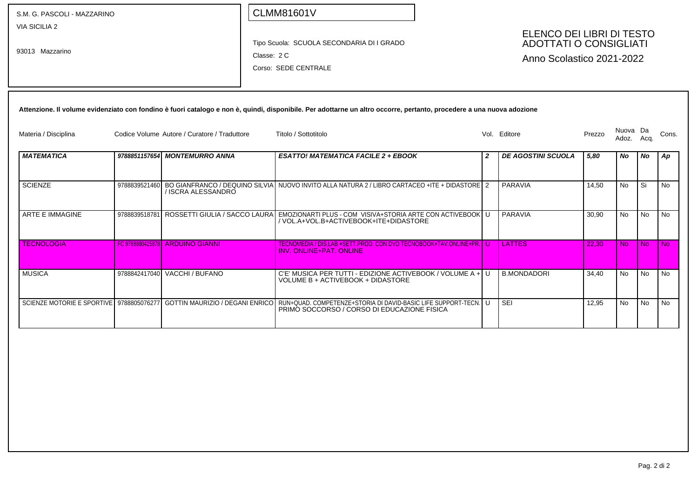| S.M. G. PASCOLI - MAZZARINO              |               |                                              | <b>CLMM81601V</b>                                                                                                                                                     |                  |                                                                                         |        |                   |           |           |
|------------------------------------------|---------------|----------------------------------------------|-----------------------------------------------------------------------------------------------------------------------------------------------------------------------|------------------|-----------------------------------------------------------------------------------------|--------|-------------------|-----------|-----------|
| <b>VIA SICILIA 2</b><br>93013 Mazzarino  |               |                                              | Tipo Scuola: SCUOLA SECONDARIA DI I GRADO<br>Classe: 2 C<br>Corso: SEDE CENTRALE                                                                                      |                  | ELENCO DEI LIBRI DI TESTO<br><b>ADOTTATI O CONSIGLIATI</b><br>Anno Scolastico 2021-2022 |        |                   |           |           |
|                                          |               |                                              | Attenzione. Il volume evidenziato con fondino è fuori catalogo e non è, quindi, disponibile. Per adottarne un altro occorre, pertanto, procedere a una nuova adozione |                  |                                                                                         |        |                   |           |           |
| Materia / Disciplina                     |               | Codice Volume Autore / Curatore / Traduttore | Titolo / Sottotitolo                                                                                                                                                  |                  | Vol. Editore                                                                            | Prezzo | Nuova Da<br>Adoz. | Acq.      | Cons.     |
| <b>MATEMATICA</b>                        |               | 9788851157654 MONTEMURRO ANNA                | <b>ESATTO! MATEMATICA FACILE 2 + EBOOK</b>                                                                                                                            | $\boldsymbol{2}$ | <b>DE AGOSTINI SCUOLA</b>                                                               | 5,80   | No                | No        | Ap        |
| <b>SCIENZE</b>                           |               | / ISCRA ALESSANDRO                           | 9788839521460 BO GIANFRANCO / DEQUINO SILVIA NUOVO INVITO ALLA NATURA 2 / LIBRO CARTACEO +ITE + DIDASTORE 2                                                           |                  | PARAVIA                                                                                 | 14.50  | <b>No</b>         | l Si      | <b>No</b> |
| ARTE E IMMAGINE                          | 9788839518781 | ROSSETTI GIULIA / SACCO LAURA                | EMOZIONARTI PLUS - COM VISIVA+STORIA ARTE CON ACTIVEBOOK U<br>/ VOL.A+VOL.B+ACTIVEBOOK+ITE+DIDASTORE                                                                  |                  | PARAVIA                                                                                 | 30,90  | No                | <b>No</b> | <b>No</b> |
| <b>TECNOLOGIA</b>                        |               | <b>FC 9788880425878 ARDUINO GIANNI</b>       | TECNOMEDIA / DIS.LAB.+SETT.PROD. CON DVD TECNOBOOK+TAV.ONLINE+PR. U<br><b>INV. ONLINE+PAT, ONLINE</b>                                                                 |                  | <b>LATTES</b>                                                                           | 22.30  | No.               | No.       | l Nol     |
| <b>MUSICA</b>                            |               | 9788842417040 VACCHI / BUFANO                | C'E' MUSICA PER TUTTI - EDIZIONE ACTIVEBOOK / VOLUME A + U<br>VOLUME B + ACTIVEBOOK + DIDASTORE                                                                       |                  | <b>B.MONDADORI</b>                                                                      | 34.40  | No.               | No.       | No.       |
| SCIENZE MOTORIE E SPORTIVE 9788805076277 |               | <b>GOTTIN MAURIZIO / DEGANI ENRICO</b>       | RUN+QUAD. COMPETENZE+STORIA DI DAVID-BASIC LIFE SUPPORT-TECN. U<br>PRIMO SOCCORSO / CORSO DI EDUCAZIONE FISICA                                                        |                  | <b>SEI</b>                                                                              | 12,95  | No                | <b>No</b> | <b>No</b> |
|                                          |               |                                              |                                                                                                                                                                       |                  |                                                                                         |        |                   |           |           |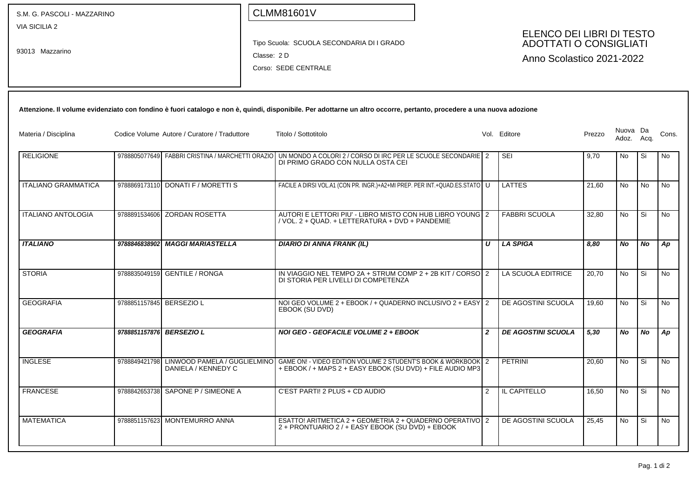| S.M. G. PASCOLI - MAZZARINO             |                          |                                                  |             | <b>CLMM81601V</b>                                                                                                                                                     |                |                                                                                         |        |                        |           |           |
|-----------------------------------------|--------------------------|--------------------------------------------------|-------------|-----------------------------------------------------------------------------------------------------------------------------------------------------------------------|----------------|-----------------------------------------------------------------------------------------|--------|------------------------|-----------|-----------|
| <b>VIA SICILIA 2</b><br>93013 Mazzarino |                          |                                                  | Classe: 2 D | Tipo Scuola: SCUOLA SECONDARIA DI I GRADO<br>Corso: SEDE CENTRALE                                                                                                     |                | ELENCO DEI LIBRI DI TESTO<br><b>ADOTTATI O CONSIGLIATI</b><br>Anno Scolastico 2021-2022 |        |                        |           |           |
|                                         |                          |                                                  |             | Attenzione. Il volume evidenziato con fondino è fuori catalogo e non è, quindi, disponibile. Per adottarne un altro occorre, pertanto, procedere a una nuova adozione |                |                                                                                         |        |                        |           |           |
| Materia / Disciplina                    |                          | Codice Volume Autore / Curatore / Traduttore     |             | Titolo / Sottotitolo                                                                                                                                                  |                | Vol. Editore                                                                            | Prezzo | Nuova Da<br>Adoz. Acq. |           | Cons.     |
| <b>RELIGIONE</b>                        |                          | 9788805077649 FABBRI CRISTINA / MARCHETTI ORAZIO |             | UN MONDO A COLORI 2 / CORSO DI IRC PER LE SCUOLE SECONDARIE 2<br>DI PRIMO GRADO CON NULLA OSTA CEI                                                                    |                | <b>SEI</b>                                                                              | 9,70   | No                     | Si        | No        |
| <b>ITALIANO GRAMMATICA</b>              |                          | 9788869173110 DONATI F / MORETTI S               |             | FACILE A DIRSI VOL.A1 (CON PR. INGR.)+A2+MI PREP. PER INT.+QUAD.ES.STATO   U                                                                                          |                | <b>LATTES</b>                                                                           | 21,60  | No                     | No        | No        |
| <b>ITALIANO ANTOLOGIA</b>               |                          | 9788891534606 ZORDAN ROSETTA                     |             | AUTORI E LETTORI PIU' - LIBRO MISTO CON HUB LIBRO YOUNG 2<br>/ VOL. 2 + QUAD. + LETTERATURA + DVD + PANDEMIE                                                          |                | <b>FABBRI SCUOLA</b>                                                                    | 32,80  | No                     | Si        | No        |
| <b>ITALIANO</b>                         |                          | 9788846838902 MAGGI MARIASTELLA                  |             | <b>DIARIO DI ANNA FRANK (IL)</b>                                                                                                                                      | U              | LA SPIGA                                                                                | 8,80   | No                     | No        | Ap        |
| <b>STORIA</b>                           |                          | 9788835049159 GENTILE / RONGA                    |             | IN VIAGGIO NEL TEMPO 2A + STRUM COMP $2 + 2B$ KIT / CORSO $2$<br>DI STORIA PER LIVELLI DI COMPETENZA                                                                  |                | LA SCUOLA EDITRICE                                                                      | 20,70  | No                     | Si        | No        |
| <b>GEOGRAFIA</b>                        | 9788851157845 BERSEZIO L |                                                  |             | NOI GEO VOLUME 2 + EBOOK / + QUADERNO INCLUSIVO 2 + EASY 2<br>EBOOK (SU DVD)                                                                                          |                | DE AGOSTINI SCUOLA                                                                      | 19,60  | No.                    | Si        | No        |
| <b>GEOGRAFIA</b>                        | 9788851157876 BERSEZIO L |                                                  |             | NOI GEO - GEOFACILE VOLUME 2 + EBOOK                                                                                                                                  | $\overline{2}$ | <b>DE AGOSTINI SCUOLA</b>                                                               | 5,30   | No                     | <b>No</b> | Ap        |
| <b>INGLESE</b>                          |                          | DANIELA / KENNEDY C                              |             | 9788849421798 LINWOOD PAMELA / GUGLIELMINO GAME ON! - VIDEO EDITION VOLUME 2 STUDENT'S BOOK & WORKBOOK 2<br>+ EBOOK / + MAPS 2 + EASY EBOOK (SU DVD) + FILE AUDIO MP3 |                | PETRINI                                                                                 | 20,60  | No                     | Si        | No        |
| <b>FRANCESE</b>                         |                          | 9788842653738 SAPONE P / SIMEONE A               |             | C'EST PARTI! 2 PLUS + CD AUDIO                                                                                                                                        | 2              | IL CAPITELLO                                                                            | 16,50  | No                     | Si.       | <b>No</b> |
| <b>MATEMATICA</b>                       |                          | 9788851157623 MONTEMURRO ANNA                    |             | ESATTO! ARITMETICA 2 + GEOMETRIA 2 + QUADERNO OPERATIVO 2<br>2 + PRONTUARIO 2 / + EASY EBOOK (SU DVD) + EBOOK                                                         |                | DE AGOSTINI SCUOLA                                                                      | 25,45  | <b>No</b>              | Si.       | <b>No</b> |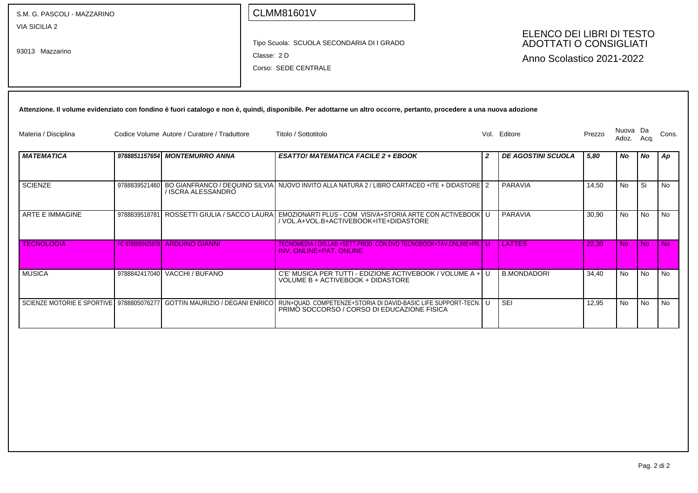| S.M. G. PASCOLI - MAZZARINO              |               |                                              | <b>CLMM81601V</b> |                                                                                                                                                                       |                  |                           |        |                   |            |                                                                   |  |                                                                                         |  |  |  |  |
|------------------------------------------|---------------|----------------------------------------------|-------------------|-----------------------------------------------------------------------------------------------------------------------------------------------------------------------|------------------|---------------------------|--------|-------------------|------------|-------------------------------------------------------------------|--|-----------------------------------------------------------------------------------------|--|--|--|--|
| <b>VIA SICILIA 2</b><br>93013 Mazzarino  |               |                                              |                   |                                                                                                                                                                       |                  |                           |        |                   | Classe: 2D | Tipo Scuola: SCUOLA SECONDARIA DI I GRADO<br>Corso: SEDE CENTRALE |  | ELENCO DEI LIBRI DI TESTO<br><b>ADOTTATI O CONSIGLIATI</b><br>Anno Scolastico 2021-2022 |  |  |  |  |
|                                          |               |                                              |                   | Attenzione. Il volume evidenziato con fondino è fuori catalogo e non è, quindi, disponibile. Per adottarne un altro occorre, pertanto, procedere a una nuova adozione |                  |                           |        |                   |            |                                                                   |  |                                                                                         |  |  |  |  |
| Materia / Disciplina                     |               | Codice Volume Autore / Curatore / Traduttore |                   | Titolo / Sottotitolo                                                                                                                                                  |                  | Vol. Editore              | Prezzo | Nuova Da<br>Adoz. | Acq.       | Cons.                                                             |  |                                                                                         |  |  |  |  |
| <b>MATEMATICA</b>                        |               | 9788851157654 MONTEMURRO ANNA                |                   | <b>ESATTO! MATEMATICA FACILE 2 + EBOOK</b>                                                                                                                            | $\boldsymbol{2}$ | <b>DE AGOSTINI SCUOLA</b> | 5,80   | No                | No         | Ap                                                                |  |                                                                                         |  |  |  |  |
| <b>SCIENZE</b>                           | 9788839521460 | / ISCRA ALESSANDRO                           |                   | BO GIANFRANCO / DEQUINO SILVIA NUOVO INVITO ALLA NATURA 2 / LIBRO CARTACEO +ITE + DIDASTORE 2                                                                         |                  | PARAVIA                   | 14.50  | <b>No</b>         | l Si       | <b>No</b>                                                         |  |                                                                                         |  |  |  |  |
| ARTE E IMMAGINE                          | 9788839518781 | ROSSETTI GIULIA / SACCO LAURA                |                   | EMOZIONARTI PLUS - COM VISIVA+STORIA ARTE CON ACTIVEBOOK U<br>/ VOL.A+VOL.B+ACTIVEBOOK+ITE+DIDASTORE                                                                  |                  | PARAVIA                   | 30,90  | No                | <b>No</b>  | <b>No</b>                                                         |  |                                                                                         |  |  |  |  |
| <b>TECNOLOGIA</b>                        |               | <b>FC 9788880425878 ARDUINO GIANNI</b>       |                   | TECNOMEDIA / DIS.LAB.+SETT.PROD. CON DVD TECNOBOOK+TAV.ONLINE+PR. U<br><b>INV. ONLINE+PAT, ONLINE</b>                                                                 |                  | <b>LATTES</b>             | 22.30  | No.               | No.        | l Nol                                                             |  |                                                                                         |  |  |  |  |
| <b>MUSICA</b>                            |               | 9788842417040 VACCHI / BUFANO                |                   | C'E' MUSICA PER TUTTI - EDIZIONE ACTIVEBOOK / VOLUME A + U<br>VOLUME B + ACTIVEBOOK + DIDASTORE                                                                       |                  | <b>B.MONDADORI</b>        | 34.40  | No.               | No.        | No.                                                               |  |                                                                                         |  |  |  |  |
| SCIENZE MOTORIE E SPORTIVE 9788805076277 |               | <b>GOTTIN MAURIZIO / DEGANI ENRICO</b>       |                   | RUN+QUAD. COMPETENZE+STORIA DI DAVID-BASIC LIFE SUPPORT-TECN. U<br>PRIMO SOCCORSO / CORSO DI EDUCAZIONE FISICA                                                        |                  | <b>SEI</b>                | 12,95  | No                | <b>No</b>  | <b>No</b>                                                         |  |                                                                                         |  |  |  |  |
|                                          |               |                                              |                   |                                                                                                                                                                       |                  |                           |        |                   |            |                                                                   |  |                                                                                         |  |  |  |  |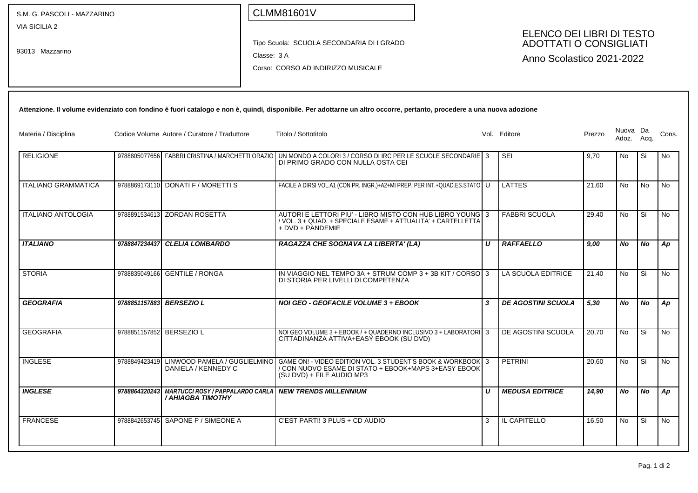| S.M. G. PASCOLI - MAZZARINO             |                          |                                                               | <b>CLMM81601V</b>                                                                                                                                                     |   |                  |                                                                                         |        |                   |           |           |
|-----------------------------------------|--------------------------|---------------------------------------------------------------|-----------------------------------------------------------------------------------------------------------------------------------------------------------------------|---|------------------|-----------------------------------------------------------------------------------------|--------|-------------------|-----------|-----------|
| <b>VIA SICILIA 2</b><br>93013 Mazzarino |                          |                                                               | Tipo Scuola: SCUOLA SECONDARIA DI I GRADO<br>Classe: 3 A<br>Corso: CORSO AD INDIRIZZO MUSICALE                                                                        |   |                  | ELENCO DEI LIBRI DI TESTO<br><b>ADOTTATI O CONSIGLIATI</b><br>Anno Scolastico 2021-2022 |        |                   |           |           |
|                                         |                          |                                                               | Attenzione. Il volume evidenziato con fondino è fuori catalogo e non è, quindi, disponibile. Per adottarne un altro occorre, pertanto, procedere a una nuova adozione |   |                  |                                                                                         |        |                   |           |           |
| Materia / Disciplina                    |                          | Codice Volume Autore / Curatore / Traduttore                  | Titolo / Sottotitolo                                                                                                                                                  |   |                  | Vol. Editore                                                                            | Prezzo | Nuova Da<br>Adoz. | Acq.      | Cons.     |
| <b>RELIGIONE</b>                        |                          | 9788805077656 FABBRI CRISTINA / MARCHETTI ORAZIO              | UN MONDO A COLORI 3 / CORSO DI IRC PER LE SCUOLE SECONDARIE 3<br>DI PRIMO GRADO CON NULLA OSTA CEI                                                                    |   |                  | <b>SEI</b>                                                                              | 9,70   | N <sub>o</sub>    | Si        | No.       |
| <b>ITALIANO GRAMMATICA</b>              |                          | 9788869173110 DONATI F / MORETTI S                            | FACILE A DIRSI VOL.A1 (CON PR. INGR.)+A2+MI PREP. PER INT.+QUAD.ES.STATO U                                                                                            |   |                  | <b>LATTES</b>                                                                           | 21,60  | No                | No        | No.       |
| <b>ITALIANO ANTOLOGIA</b>               |                          | 9788891534613 ZORDAN ROSETTA                                  | AUTORI E LETTORI PIU' - LIBRO MISTO CON HUB LIBRO YOUNG 3<br>/ VOL. 3 + QUAD. + SPECIALE ESAME + ATTUALITA' + CARTELLETTA<br>+ DVD + PANDEMIE                         |   |                  | <b>FABBRI SCUOLA</b>                                                                    | 29,40  | No                | Si        | <b>No</b> |
| <b>ITALIANO</b>                         | 9788847234437            | <b>CLELIA LOMBARDO</b>                                        | RAGAZZA CHE SOGNAVA LA LIBERTA' (LA)                                                                                                                                  |   | $\boldsymbol{U}$ | <b>RAFFAELLO</b>                                                                        | 9,00   | No                | No        | Ap        |
| <b>STORIA</b>                           | 9788835049166            | <b>GENTILE / RONGA</b>                                        | IN VIAGGIO NEL TEMPO 3A + STRUM COMP 3 + 3B KIT / CORSO 3<br>DI STORIA PER LIVELLI DI COMPETENZA                                                                      |   |                  | LA SCUOLA EDITRICE                                                                      | 21,40  | No                | Si        | No        |
| <b>GEOGRAFIA</b>                        | 9788851157883            | <b>BERSEZIO L</b>                                             | NOI GEO - GEOFACILE VOLUME 3 + EBOOK                                                                                                                                  | 3 |                  | <b>DE AGOSTINI SCUOLA</b>                                                               | 5,30   | No                | No        | Ap        |
| <b>GEOGRAFIA</b>                        | 9788851157852 BERSEZIO L |                                                               | NOI GEO VOLUME 3 + EBOOK / + QUADERNO INCLUSIVO 3 + LABORATORI 3<br>CITTADINANZA ATTIVA+EASY EBOOK (SU DVD)                                                           |   |                  | DE AGOSTINI SCUOLA                                                                      | 20,70  | No                | Si        | No.       |
| <b>INGLESE</b>                          | 9788849423419            | LINWOOD PAMELA / GUGLIELMINO<br>DANIELA / KENNEDY C           | GAME ON! - VIDEO EDITION VOL. 3 STUDENT'S BOOK & WORKBOOK 3<br>/ CON NUOVO ESAME DI STATO + EBOOK+MAPS 3+EASY EBOOK<br>(SU DVD) + FILE AUDIO MP3                      |   |                  | PETRINI                                                                                 | 20,60  | No                | Si        | No        |
| <b>INGLESE</b>                          | 9788864320243            | <b>MARTUCCI ROSY / PAPPALARDO CARLA </b><br>/ AHIAGBA TIMOTHY | <b>NEW TRENDS MILLENNIUM</b>                                                                                                                                          |   | U                | <b>MEDUSA EDITRICE</b>                                                                  | 14,90  | No                | <b>No</b> | Ap        |
| <b>FRANCESE</b>                         |                          | 9788842653745 SAPONE P / SIMEONE A                            | C'EST PARTI! 3 PLUS + CD AUDIO                                                                                                                                        |   | 3                | <b>IL CAPITELLO</b>                                                                     | 16,50  | No                | Si        | l No      |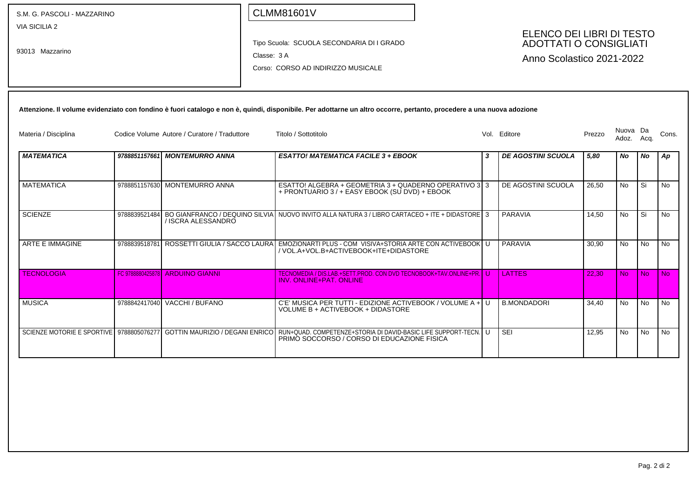| S.M. G. PASCOLI - MAZZARINO<br><b>VIA SICILIA 2</b><br>93013 Mazzarino |                  | Classe: 3 A                                  | <b>CLMM81601V</b><br>Tipo Scuola: SCUOLA SECONDARIA DI I GRADO<br>Corso: CORSO AD INDIRIZZO MUSICALE                                                                                          |   | ELENCO DEI LIBRI DI TESTO<br><b>ADOTTATI O CONSIGLIATI</b><br>Anno Scolastico 2021-2022 |        |                   |                |                |
|------------------------------------------------------------------------|------------------|----------------------------------------------|-----------------------------------------------------------------------------------------------------------------------------------------------------------------------------------------------|---|-----------------------------------------------------------------------------------------|--------|-------------------|----------------|----------------|
| Materia / Disciplina                                                   |                  | Codice Volume Autore / Curatore / Traduttore | Attenzione. Il volume evidenziato con fondino è fuori catalogo e non è, quindi, disponibile. Per adottarne un altro occorre, pertanto, procedere a una nuova adozione<br>Titolo / Sottotitolo |   | Vol. Editore                                                                            | Prezzo | Nuova Da<br>Adoz. | Acq.           | Cons.          |
| <b>MATEMATICA</b>                                                      |                  | 9788851157661 MONTEMURRO ANNA                | <b>ESATTO! MATEMATICA FACILE 3 + EBOOK</b>                                                                                                                                                    | 3 | <b>DE AGOSTINI SCUOLA</b>                                                               | 5,80   | No                | No             | Ap             |
| MATEMATICA                                                             |                  | 9788851157630 MONTEMURRO ANNA                | ESATTO! ALGEBRA + GEOMETRIA 3 + QUADERNO OPERATIVO 3 3<br>+ PRONTUARIO 3 / + EASY EBOOK (SU DVD) + EBOOK                                                                                      |   | DE AGOSTINI SCUOLA                                                                      | 26.50  | No.               | Si             | No.            |
| <b>SCIENZE</b>                                                         |                  | / ISCRA ALESSANDRO                           | 9788839521484 BO GIANFRANCO / DEQUINO SILVIA NUOVO INVITO ALLA NATURA 3 / LIBRO CARTACEO + ITE + DIDASTORE 3                                                                                  |   | PARAVIA                                                                                 | 14,50  | <b>No</b>         | Si             | No             |
| ARTE E IMMAGINE                                                        |                  |                                              | 9788839518781 ROSSETTI GIULIA / SACCO LAURA EMOZIONARTI PLUS - COM VISIVA+STORIA ARTE CON ACTIVEBOOK U<br>/ VOL.A+VOL.B+ACTIVEBOOK+ITE+DIDASTORE                                              |   | PARAVIA                                                                                 | 30.90  | No.               | <b>No</b>      | <b>No</b>      |
| <b>TECNOLOGIA</b>                                                      | FC 9788880425878 | <b>ARDUINO GIANNI</b>                        | TECNOMEDIA / DIS.LAB.+SETT.PROD. CON DVD TECNOBOOK+TAV.ONLINE+PR. U<br><b>INV. ONLINE+PAT. ONLINE</b>                                                                                         |   | <b>LATTES</b>                                                                           | 22.30  | <b>No</b>         | N <sub>o</sub> | N <sub>o</sub> |
| <b>MUSICA</b>                                                          |                  | 9788842417040 VACCHI / BUFANO                | C'E' MUSICA PER TUTTI - EDIZIONE ACTIVEBOOK / VOLUME A + U<br>VOLUME B + ACTIVEBOOK + DIDASTORE                                                                                               |   | <b>B.MONDADORI</b>                                                                      | 34.40  | No.               | No.            | <b>No</b>      |
| SCIENZE MOTORIE E SPORTIVE   9788805076277                             |                  |                                              | GOTTIN MAURIZIO / DEGANI ENRICO   RUN+QUAD. COMPETENZE+STORIA DI DAVID-BASIC LIFE SUPPORT-TECN. U<br>PRIMO SOCCORSO / CORSO DI EDUCAZIONE FISICA                                              |   | <b>SEI</b>                                                                              | 12,95  | No.               | <b>No</b>      | No             |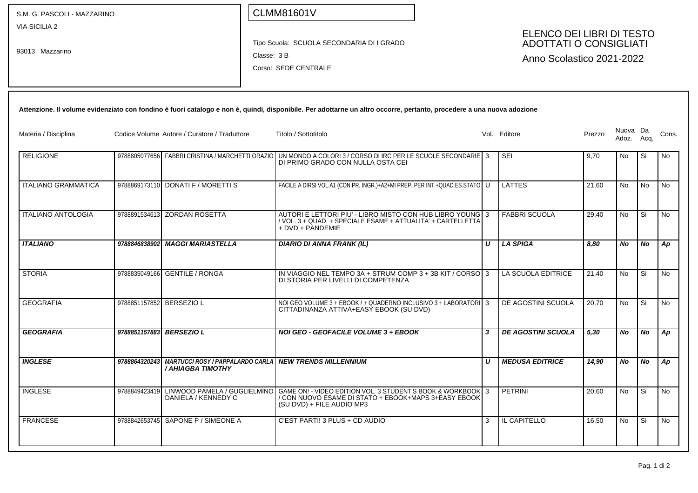| S.M. G. PASCOLI - MAZZARINO             |                          |                                                                     |             | <b>CLMM81601V</b>                                                                                                                                                     |   |                                                                                         |        |                   |           |           |
|-----------------------------------------|--------------------------|---------------------------------------------------------------------|-------------|-----------------------------------------------------------------------------------------------------------------------------------------------------------------------|---|-----------------------------------------------------------------------------------------|--------|-------------------|-----------|-----------|
| <b>VIA SICILIA 2</b><br>93013 Mazzarino |                          |                                                                     | Classe: 3 B | Tipo Scuola: SCUOLA SECONDARIA DI I GRADO<br>Corso: SEDE CENTRALE                                                                                                     |   | ELENCO DEI LIBRI DI TESTO<br><b>ADOTTATI O CONSIGLIATI</b><br>Anno Scolastico 2021-2022 |        |                   |           |           |
|                                         |                          |                                                                     |             | Attenzione. Il volume evidenziato con fondino è fuori catalogo e non è, quindi, disponibile. Per adottarne un altro occorre, pertanto, procedere a una nuova adozione |   |                                                                                         |        |                   |           |           |
| Materia / Disciplina                    |                          | Codice Volume Autore / Curatore / Traduttore                        |             | Titolo / Sottotitolo                                                                                                                                                  |   | Vol. Editore                                                                            | Prezzo | Nuova Da<br>Adoz. | Acq.      | Cons.     |
| <b>RELIGIONE</b>                        |                          | 9788805077656 FABBRI CRISTINA / MARCHETTI ORAZIO                    |             | UN MONDO A COLORI 3 / CORSO DI IRC PER LE SCUOLE SECONDARIE 3<br>DI PRIMO GRADO CON NULLA OSTA CEI                                                                    |   | <b>SEI</b>                                                                              | 9,70   | No                | Si        | No        |
| <b>ITALIANO GRAMMATICA</b>              |                          | 9788869173110 DONATI F / MORETTI S                                  |             | FACILE A DIRSI VOL.A1 (CON PR. INGR.)+A2+MI PREP. PER INT.+QUAD.ES.STATO U                                                                                            |   | <b>LATTES</b>                                                                           | 21,60  | <b>No</b>         | No        | No        |
| <b>ITALIANO ANTOLOGIA</b>               |                          | 9788891534613 ZORDAN ROSETTA                                        |             | AUTORI E LETTORI PIU' - LIBRO MISTO CON HUB LIBRO YOUNG 3<br>/ VOL. 3 + QUAD. + SPECIALE ESAME + ATTUALITA' + CARTELLETTA<br>+ DVD + PANDEMIE                         |   | <b>FABBRI SCUOLA</b>                                                                    | 29,40  | <b>No</b>         | Si        | No        |
| <b>ITALIANO</b>                         |                          | 9788846838902 MAGGI MARIASTELLA                                     |             | <b>DIARIO DI ANNA FRANK (IL)</b>                                                                                                                                      | U | <b>LA SPIGA</b>                                                                         | 8,80   | No                | No        | Ap        |
| <b>STORIA</b>                           | 9788835049166            | <b>GENTILE / RONGA</b>                                              |             | IN VIAGGIO NEL TEMPO 3A + STRUM COMP 3 + 3B KIT / CORSO 3<br>DI STORIA PER LIVELLI DI COMPETENZA                                                                      |   | LA SCUOLA EDITRICE                                                                      | 21,40  | <b>No</b>         | Si        | No        |
| <b>GEOGRAFIA</b>                        | 9788851157852 BERSEZIO L |                                                                     |             | NOI GEO VOLUME 3 + EBOOK / + QUADERNO INCLUSIVO 3 + LABORATORI 3<br>CITTADINANZA ATTIVA+EASY EBOOK (SU DVD)                                                           |   | DE AGOSTINI SCUOLA                                                                      | 20,70  | <b>No</b>         | Si        | No.       |
| <b>GEOGRAFIA</b>                        | 9788851157883 BERSEZIO L |                                                                     |             | NOI GEO - GEOFACILE VOLUME 3 + EBOOK                                                                                                                                  | 3 | <b>DE AGOSTINI SCUOLA</b>                                                               | 5,30   | <b>No</b>         | <b>No</b> | Ap        |
| <b>INGLESE</b>                          |                          | 9788864320243 MARTUCCI ROSY / PAPPALARDO CARLA<br>/ AHIAGBA TIMOTHY |             | <b>NEW TRENDS MILLENNIUM</b>                                                                                                                                          | U | <b>MEDUSA EDITRICE</b>                                                                  | 14,90  | No                | No        | Ap        |
| <b>INGLESE</b>                          |                          | 9788849423419 LINWOOD PAMELA / GUGLIELMINO<br>DANIELA / KENNEDY C   |             | GAME ON! - VIDEO EDITION VOL. 3 STUDENT'S BOOK & WORKBOOK 3<br>/ CON NUOVO ESAME DI STATO + EBOOK+MAPS 3+EASY EBOOK<br>(SU DVD) + FILE AUDIO MP3                      |   | <b>PETRINI</b>                                                                          | 20,60  | <b>No</b>         | Si        | <b>No</b> |
| <b>FRANCESE</b>                         |                          | 9788842653745 SAPONE P / SIMEONE A                                  |             | C'EST PARTI! 3 PLUS + CD AUDIO                                                                                                                                        | 3 | IL CAPITELLO                                                                            | 16,50  | No                | Si        | <b>No</b> |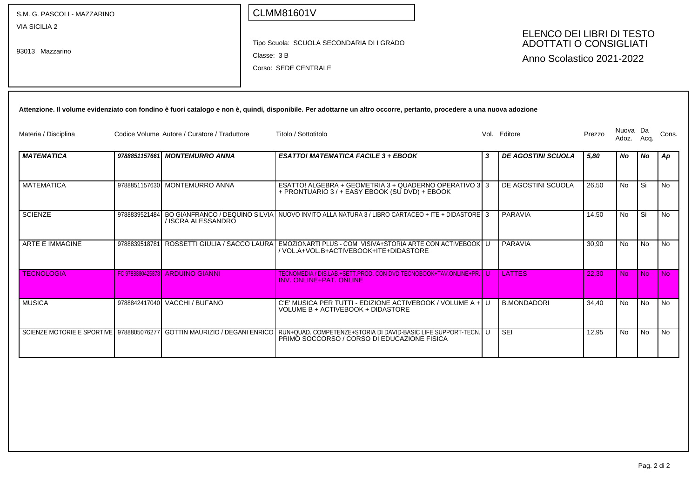| S.M. G. PASCOLI - MAZZARINO      |               |                                              | <b>CLMM81601V</b>                                                                                                                                                                               |   |                                                                                  |        |                   |                |           |
|----------------------------------|---------------|----------------------------------------------|-------------------------------------------------------------------------------------------------------------------------------------------------------------------------------------------------|---|----------------------------------------------------------------------------------|--------|-------------------|----------------|-----------|
| VIA SICILIA 2<br>93013 Mazzarino |               |                                              | Tipo Scuola: SCUOLA SECONDARIA DI I GRADO<br>Classe: 3B<br>Corso: SEDE CENTRALE                                                                                                                 |   | ELENCO DEI LIBRI DI TESTO<br>ADOTTATI O CONSIGLIATI<br>Anno Scolastico 2021-2022 |        |                   |                |           |
|                                  |               |                                              | Attenzione. Il volume evidenziato con fondino è fuori catalogo e non è, quindi, disponibile. Per adottarne un altro occorre, pertanto, procedere a una nuova adozione                           |   |                                                                                  |        |                   |                |           |
| Materia / Disciplina             |               | Codice Volume Autore / Curatore / Traduttore | Titolo / Sottotitolo                                                                                                                                                                            |   | Vol. Editore                                                                     | Prezzo | Nuova Da<br>Adoz. | Acq.           | Cons.     |
| <b>MATEMATICA</b>                |               | 9788851157661 MONTEMURRO ANNA                | <b>ESATTO! MATEMATICA FACILE 3 + EBOOK</b>                                                                                                                                                      | 3 | <b>DE AGOSTINI SCUOLA</b>                                                        | 5,80   | No                | No             | Ap        |
| <b>MATEMATICA</b>                |               | 9788851157630 MONTEMURRO ANNA                | ESATTO! ALGEBRA + GEOMETRIA 3 + QUADERNO OPERATIVO 3 3<br>+ PRONTUARIO 3 / + EASY EBOOK (SU DVD) + EBOOK                                                                                        |   | DE AGOSTINI SCUOLA                                                               | 26.50  | No                | Si             | No        |
| <b>SCIENZE</b>                   | 9788839521484 | / ISCRA ALESSANDRO                           | BO GIANFRANCO / DEQUINO SILVIA NUOVO INVITO ALLA NATURA 3 / LIBRO CARTACEO + ITE + DIDASTORE 3                                                                                                  |   | PARAVIA                                                                          | 14.50  | No.               | Si             | No.       |
| ARTE E IMMAGINE                  | 9788839518781 | ROSSETTI GIULIA / SACCO LAURA                | EMOZIONARTI PLUS - COM VISIVA+STORIA ARTE CON ACTIVEBOOK U<br>/ VOL.A+VOL.B+ACTIVEBOOK+ITE+DIDASTORE                                                                                            |   | <b>PARAVIA</b>                                                                   | 30.90  | <b>No</b>         | N <sub>o</sub> | No        |
| <b>TECNOLOGIA</b>                |               | FC 9788880425878 ARDUINO GIANNI              | TECNOMEDIA / DIS.LAB.+SETT.PROD. CON DVD TECNOBOOK+TAV.ONLINE+PR. U<br><b>INV. ONLINE+PAT. ONLINE</b>                                                                                           |   | <b>LATTES</b>                                                                    | 22.30  | <b>No</b>         | N <sub>o</sub> | No.       |
| <b>MUSICA</b>                    |               | 9788842417040 VACCHI / BUFANO                | C'E' MUSICA PER TUTTI - EDIZIONE ACTIVEBOOK / VOLUME A + U<br>VOLUME B + ACTIVEBOOK + DIDASTORE                                                                                                 |   | <b>B.MONDADORI</b>                                                               | 34.40  | No                | No             | No        |
|                                  |               |                                              | SCIENZE MOTORIE E SPORTIVE   9788805076277   GOTTIN MAURIZIO / DEGANI ENRICO   RUN+QUAD. COMPETENZE+STORIA DI DAVID-BASIC LIFE SUPPORT-TECN.   U<br>PRIMO SOCCORSO / CORSO DI EDUCAZIONE FISICA |   | <b>SEI</b>                                                                       | 12.95  | <b>No</b>         | <b>No</b>      | <b>No</b> |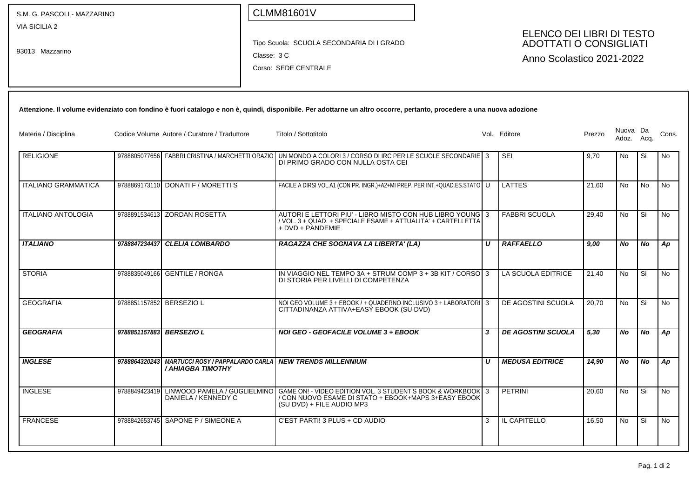| S.M. G. PASCOLI - MAZZARINO             |                          |                                                  |             | <b>CLMM81601V</b>                                                                                                                                                                           |                  |                                                                                         |        |                        |           |           |
|-----------------------------------------|--------------------------|--------------------------------------------------|-------------|---------------------------------------------------------------------------------------------------------------------------------------------------------------------------------------------|------------------|-----------------------------------------------------------------------------------------|--------|------------------------|-----------|-----------|
| <b>VIA SICILIA 2</b><br>93013 Mazzarino |                          |                                                  | Classe: 3 C | Tipo Scuola: SCUOLA SECONDARIA DI I GRADO<br>Corso: SEDE CENTRALE                                                                                                                           |                  | ELENCO DEI LIBRI DI TESTO<br><b>ADOTTATI O CONSIGLIATI</b><br>Anno Scolastico 2021-2022 |        |                        |           |           |
|                                         |                          |                                                  |             | Attenzione. Il volume evidenziato con fondino è fuori catalogo e non è, quindi, disponibile. Per adottarne un altro occorre, pertanto, procedere a una nuova adozione                       |                  |                                                                                         |        |                        |           |           |
| Materia / Disciplina                    |                          | Codice Volume Autore / Curatore / Traduttore     |             | Titolo / Sottotitolo                                                                                                                                                                        |                  | Vol. Editore                                                                            | Prezzo | Nuova Da<br>Adoz. Acq. |           | Cons.     |
| <b>RELIGIONE</b>                        |                          | 9788805077656 FABBRI CRISTINA / MARCHETTI ORAZIO |             | UN MONDO A COLORI 3 / CORSO DI IRC PER LE SCUOLE SECONDARIE 3<br>DI PRIMO GRADO CON NULLA OSTA CEI                                                                                          |                  | <b>SEI</b>                                                                              | 9,70   | No                     | Si        | No        |
| <b>ITALIANO GRAMMATICA</b>              |                          | 9788869173110 DONATI F / MORETTI S               |             | FACILE A DIRSI VOL.A1 (CON PR. INGR.)+A2+MI PREP. PER INT.+QUAD.ES.STATO   U                                                                                                                |                  | LATTES                                                                                  | 21,60  | No                     | No        | No        |
| <b>ITALIANO ANTOLOGIA</b>               |                          | 9788891534613 ZORDAN ROSETTA                     |             | AUTORI E LETTORI PIU' - LIBRO MISTO CON HUB LIBRO YOUNG 3<br>/ VOL. 3 + QUAD. + SPECIALE ESAME + ATTUALITA' + CARTELLETTA<br>+ DVD + PANDEMIE                                               |                  | <b>FABBRI SCUOLA</b>                                                                    | 29,40  | No                     | Si        | No        |
| <b>ITALIANO</b>                         | 9788847234437            | <b>CLELIA LOMBARDO</b>                           |             | RAGAZZA CHE SOGNAVA LA LIBERTA' (LA)                                                                                                                                                        | $\boldsymbol{U}$ | <b>RAFFAELLO</b>                                                                        | 9,00   | No                     | No        | Ap        |
| <b>STORIA</b>                           | 9788835049166            | <b>GENTILE / RONGA</b>                           |             | IN VIAGGIO NEL TEMPO 3A + STRUM COMP $3 + 3B$ KIT / CORSO 3<br>DI STORIA PER LIVELLI DI COMPETENZA                                                                                          |                  | LA SCUOLA EDITRICE                                                                      | 21,40  | No                     | Si        | No        |
| <b>GEOGRAFIA</b>                        | 9788851157852 BERSEZIO L |                                                  |             | NOI GEO VOLUME 3 + EBOOK / + QUADERNO INCLUSIVO 3 + LABORATORI 3<br>CITTADINANZA ATTIVA+EASY EBOOK (SU DVD)                                                                                 |                  | DE AGOSTINI SCUOLA                                                                      | 20,70  | No.                    | Si        | No        |
| <b>GEOGRAFIA</b>                        |                          | 9788851157883 BERSEZIO L                         |             | <b>NOI GEO - GEOFACILE VOLUME 3 + EBOOK</b>                                                                                                                                                 | $\boldsymbol{3}$ | <b>DE AGOSTINI SCUOLA</b>                                                               | 5,30   | No                     | <b>No</b> | Ap        |
| <b>INGLESE</b>                          |                          | / AHIAGBA TIMOTHY                                |             | 9788864320243 MARTUCCI ROSY / PAPPALARDO CARLA NEW TRENDS MILLENNIUM                                                                                                                        | U                | <b>MEDUSA EDITRICE</b>                                                                  | 14,90  | No                     | No        | Ap        |
| <b>INGLESE</b>                          |                          | DANIELA / KENNEDY C                              |             | 9788849423419 LINWOOD PAMELA / GUGLIELMINO GAME ON! - VIDEO EDITION VOL. 3 STUDENT'S BOOK & WORKBOOK 3<br>/ CON NUOVO ESAME DI STATO + EBOOK+MAPS 3+EASY EBOOK<br>(SU DVD) + FILE AUDIO MP3 |                  | <b>PETRINI</b>                                                                          | 20,60  | No.                    | l Si      | <b>No</b> |
| <b>FRANCESE</b>                         |                          | 9788842653745 SAPONE P / SIMEONE A               |             | C'EST PARTI! 3 PLUS + CD AUDIO                                                                                                                                                              | 3                | IL CAPITELLO                                                                            | 16,50  | No                     | Si.       | <b>No</b> |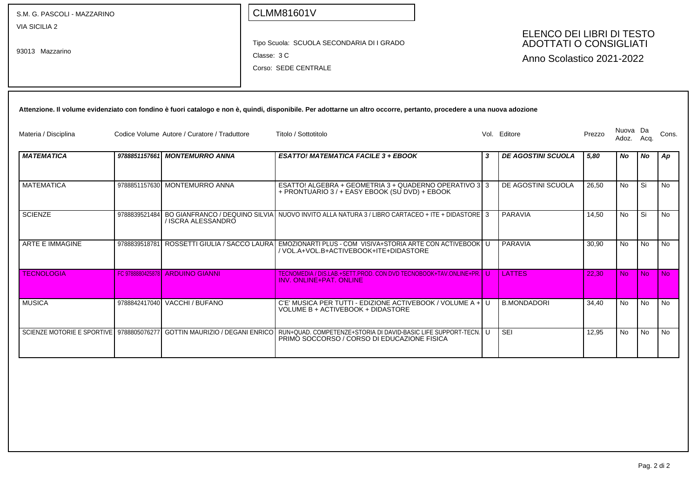| S.M. G. PASCOLI - MAZZARINO      |               |                                                                          |             | <b>CLMM81601V</b>                                                                                                                                                     |              |                                                                                         |        |                   |                |           |
|----------------------------------|---------------|--------------------------------------------------------------------------|-------------|-----------------------------------------------------------------------------------------------------------------------------------------------------------------------|--------------|-----------------------------------------------------------------------------------------|--------|-------------------|----------------|-----------|
| VIA SICILIA 2<br>93013 Mazzarino |               |                                                                          | Classe: 3 C | Tipo Scuola: SCUOLA SECONDARIA DI I GRADO<br>Corso: SEDE CENTRALE                                                                                                     |              | ELENCO DEI LIBRI DI TESTO<br><b>ADOTTATI O CONSIGLIATI</b><br>Anno Scolastico 2021-2022 |        |                   |                |           |
|                                  |               |                                                                          |             | Attenzione. Il volume evidenziato con fondino è fuori catalogo e non è, quindi, disponibile. Per adottarne un altro occorre, pertanto, procedere a una nuova adozione |              |                                                                                         |        |                   |                |           |
| Materia / Disciplina             |               | Codice Volume Autore / Curatore / Traduttore                             |             | Titolo / Sottotitolo                                                                                                                                                  |              | Vol. Editore                                                                            | Prezzo | Nuova Da<br>Adoz. | Acq.           | Cons.     |
| <b>MATEMATICA</b>                |               | 9788851157661 MONTEMURRO ANNA                                            |             | <b>ESATTO! MATEMATICA FACILE 3 + EBOOK</b>                                                                                                                            | 3            | <b>DE AGOSTINI SCUOLA</b>                                                               | 5,80   | No                | <b>No</b>      | Ap        |
| <b>MATEMATICA</b>                |               | 9788851157630 MONTEMURRO ANNA                                            |             | ESATTO! ALGEBRA + GEOMETRIA 3 + QUADERNO OPERATIVO 3 3<br>+ PRONTUARIO 3 / + EASY EBOOK (SU DVD) + EBOOK                                                              |              | DE AGOSTINI SCUOLA                                                                      | 26,50  | No                | Si             | No        |
| <b>SCIENZE</b>                   |               | / ISCRA ALESSANDRO                                                       |             | 9788839521484 BO GIANFRANCO / DEQUINO SILVIA NUOVO INVITO ALLA NATURA 3 / LIBRO CARTACEO + ITE + DIDASTORE 3                                                          |              | PARAVIA                                                                                 | 14,50  | No                | Si             | No        |
| <b>ARTE E IMMAGINE</b>           | 9788839518781 | ROSSETTI GIULIA / SACCO LAURA                                            |             | EMOZIONARTI PLUS - COM VISIVA+STORIA ARTE CON ACTIVEBOOK U<br>/ VOL.A+VOL.B+ACTIVEBOOK+ITE+DIDASTORE                                                                  |              | PARAVIA                                                                                 | 30,90  | <b>No</b>         | <b>No</b>      | <b>No</b> |
| <b>TECNOLOGIA</b>                |               | FC 9788880425878 ARDUINO GIANNI                                          |             | TECNOMEDIA / DIS.LAB.+SETT.PROD. CON DVD TECNOBOOK+TAV.ONLINE+PR. I U<br>INV. ONLINE+PAT. ONLINE                                                                      |              | <b>LATTES</b>                                                                           | 22.30  | <b>No</b>         | N <sub>o</sub> | No.       |
| <b>MUSICA</b>                    |               | 9788842417040 VACCHI / BUFANO                                            |             | C'E' MUSICA PER TUTTI - EDIZIONE ACTIVEBOOK / VOLUME A +<br>VOLUME B + ACTIVEBOOK + DIDASTORE                                                                         | $\mathbf{U}$ | <b>B.MONDADORI</b>                                                                      | 34.40  | No                | No             | No        |
|                                  |               | SCIENZE MOTORIE E SPORTIVE 9788805076277 GOTTIN MAURIZIO / DEGANI ENRICO |             | RUN+QUAD. COMPETENZE+STORIA DI DAVID-BASIC LIFE SUPPORT-TECN. U<br>PRIMO SOCCORSO / CORSO DI EDUCAZIONE FISICA                                                        |              | <b>SEI</b>                                                                              | 12.95  | No                | <b>No</b>      | No        |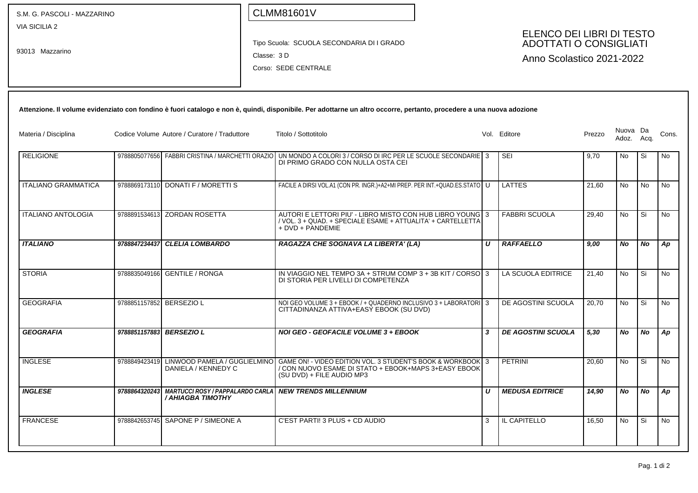| S.M. G. PASCOLI - MAZZARINO             |                          |                                                                                           | <b>CLMM81601V</b> |                                                                                                                                                                               |                           |                                                                                         |        |                   |           |       |
|-----------------------------------------|--------------------------|-------------------------------------------------------------------------------------------|-------------------|-------------------------------------------------------------------------------------------------------------------------------------------------------------------------------|---------------------------|-----------------------------------------------------------------------------------------|--------|-------------------|-----------|-------|
| <b>VIA SICILIA 2</b><br>93013 Mazzarino |                          |                                                                                           | Classe: 3 D       | Tipo Scuola: SCUOLA SECONDARIA DI I GRADO<br>Corso: SEDE CENTRALE                                                                                                             |                           | ELENCO DEI LIBRI DI TESTO<br><b>ADOTTATI O CONSIGLIATI</b><br>Anno Scolastico 2021-2022 |        |                   |           |       |
|                                         |                          |                                                                                           |                   | Attenzione. Il volume evidenziato con fondino è fuori catalogo e non è, quindi, disponibile. Per adottarne un altro occorre, pertanto, procedere a una nuova adozione         |                           |                                                                                         |        |                   |           |       |
| Materia / Disciplina                    |                          | Codice Volume Autore / Curatore / Traduttore                                              |                   | Titolo / Sottotitolo                                                                                                                                                          |                           | Vol. Editore                                                                            | Prezzo | Nuova Da<br>Adoz. | Acq.      | Cons. |
| <b>RELIGIONE</b>                        |                          | 9788805077656 FABBRI CRISTINA / MARCHETTI ORAZIO                                          |                   | UN MONDO A COLORI 3 / CORSO DI IRC PER LE SCUOLE SECONDARIE 3<br>DI PRIMO GRADO CON NULLA OSTA CEI                                                                            |                           | SEI                                                                                     | 9,70   | No                | Si        | No    |
| <b>ITALIANO GRAMMATICA</b>              |                          | 9788869173110 DONATI F / MORETTI S                                                        |                   | FACILE A DIRSI VOL.A1 (CON PR. INGR.)+A2+MI PREP. PER INT.+QUAD.ES.STATO U                                                                                                    |                           | <b>LATTES</b>                                                                           | 21,60  | <b>No</b>         | No        | No    |
| <b>ITALIANO ANTOLOGIA</b>               |                          | 9788891534613 ZORDAN ROSETTA                                                              |                   | AUTORI E LETTORI PIU' - LIBRO MISTO CON HUB LIBRO YOUNG 3<br>/ VOL. 3 + QUAD. + SPECIALE ESAME + ATTUALITA' + CARTELLETTA<br>+ DVD + PANDEMIE                                 |                           | <b>FABBRI SCUOLA</b>                                                                    | 29,40  | <b>No</b>         | Si        | No    |
| <b>ITALIANO</b>                         | 9788847234437            | <b>CLELIA LOMBARDO</b>                                                                    |                   | RAGAZZA CHE SOGNAVA LA LIBERTA' (LA)                                                                                                                                          | U                         | <b>RAFFAELLO</b>                                                                        | 9,00   | No                | No        | Ap    |
| <b>STORIA</b>                           | 9788835049166            | <b>GENTILE / RONGA</b>                                                                    |                   | IN VIAGGIO NEL TEMPO 3A + STRUM COMP 3 + 3B KIT / CORSO 3<br>DI STORIA PER LIVELLI DI COMPETENZA                                                                              |                           | LA SCUOLA EDITRICE                                                                      | 21,40  | <b>No</b>         | Si        | No    |
| <b>GEOGRAFIA</b>                        | 9788851157852 BERSEZIO L |                                                                                           |                   | NOI GEO VOLUME 3 + EBOOK / + QUADERNO INCLUSIVO 3 + LABORATORI 3<br>CITTADINANZA ATTIVA+EASY EBOOK (SU DVD)                                                                   |                           | DE AGOSTINI SCUOLA                                                                      | 20,70  | <b>No</b>         | Si        | No.   |
| <b>GEOGRAFIA</b>                        | 9788851157883 BERSEZIO L |                                                                                           |                   | NOI GEO - GEOFACILE VOLUME 3 + EBOOK                                                                                                                                          | $\boldsymbol{\mathsf{3}}$ | <b>DE AGOSTINI SCUOLA</b>                                                               | 5,30   | No.               | <b>No</b> | Ap    |
| <b>INGLESE</b>                          | 9788849423419            | DANIELA / KENNEDY C                                                                       |                   | LINWOOD PAMELA / GUGLIELMINO GAME ON! - VIDEO EDITION VOL. 3 STUDENT'S BOOK & WORKBOOK 3<br>/ CON NUOVO ESAME DI STATO + EBOOK+MAPS 3+EASY EBOOK<br>(SU DVD) + FILE AUDIO MP3 |                           | PETRINI                                                                                 | 20,60  | No                | Si        | No    |
| <b>INGLESE</b>                          |                          | 9788864320243 MARTUCCI ROSY / PAPPALARDO CARLA NEW TRENDS MILLENNIUM<br>/ AHIAGBA TIMOTHY |                   |                                                                                                                                                                               | U                         | <b>MEDUSA EDITRICE</b>                                                                  | 14,90  | No                | No        | Ap    |
| <b>FRANCESE</b>                         |                          | 9788842653745 SAPONE P / SIMEONE A                                                        |                   | C'EST PARTI! 3 PLUS + CD AUDIO                                                                                                                                                | 3                         | IL CAPITELLO                                                                            | 16,50  | No                | Si        | No    |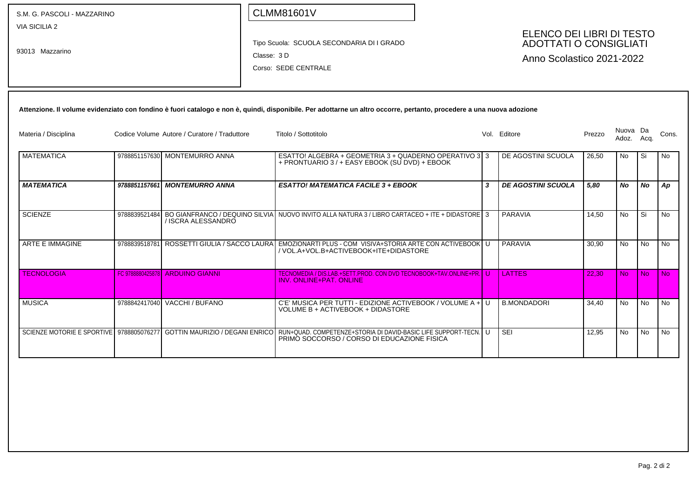| S.M. G. PASCOLI - MAZZARINO              |               |                                              | <b>CLMM81601V</b>                                                                                                                                                     |              |                                                                                         |        |                   |                |                |
|------------------------------------------|---------------|----------------------------------------------|-----------------------------------------------------------------------------------------------------------------------------------------------------------------------|--------------|-----------------------------------------------------------------------------------------|--------|-------------------|----------------|----------------|
| <b>VIA SICILIA 2</b><br>93013 Mazzarino  |               |                                              | Tipo Scuola: SCUOLA SECONDARIA DI I GRADO<br>Classe: 3D<br>Corso: SEDE CENTRALE                                                                                       |              | ELENCO DEI LIBRI DI TESTO<br><b>ADOTTATI O CONSIGLIATI</b><br>Anno Scolastico 2021-2022 |        |                   |                |                |
|                                          |               |                                              | Attenzione. Il volume evidenziato con fondino è fuori catalogo e non è, quindi, disponibile. Per adottarne un altro occorre, pertanto, procedere a una nuova adozione |              |                                                                                         |        |                   |                |                |
| Materia / Disciplina                     |               | Codice Volume Autore / Curatore / Traduttore | Titolo / Sottotitolo                                                                                                                                                  |              | Vol. Editore                                                                            | Prezzo | Nuova Da<br>Adoz. | Acq.           | Cons.          |
| <b>MATEMATICA</b>                        |               | 9788851157630 MONTEMURRO ANNA                | ESATTO! ALGEBRA + GEOMETRIA 3 + QUADERNO OPERATIVO 3 3<br>+ PRONTUARIO 3 / + EASY EBOOK (SU DVD) + EBOOK                                                              |              | DE AGOSTINI SCUOLA                                                                      | 26,50  | No                | Si             | <b>No</b>      |
| <b>MATEMATICA</b>                        |               | 9788851157661 MONTEMURRO ANNA                | <b>ESATTO! MATEMATICA FACILE 3 + EBOOK</b>                                                                                                                            | 3            | <b>DE AGOSTINI SCUOLA</b>                                                               | 5,80   | <b>No</b>         | <b>No</b>      | Ap             |
| <b>SCIENZE</b>                           | 9788839521484 | / ISCRA ALESSANDRO                           | BO GIANFRANCO / DEQUINO SILVIA NUOVO INVITO ALLA NATURA 3 / LIBRO CARTACEO + ITE + DIDASTORE 3                                                                        |              | PARAVIA                                                                                 | 14,50  | <b>No</b>         | l Si           | N <sub>o</sub> |
| <b>ARTE E IMMAGINE</b>                   | 9788839518781 |                                              | ROSSETTI GIULIA / SACCO LAURA EMOZIONARTI PLUS - COM VISIVA+STORIA ARTE CON ACTIVEBOOK U<br>/ VOL.A+VOL.B+ACTIVEBOOK+ITE+DIDASTORE                                    |              | PARAVIA                                                                                 | 30.90  | <b>No</b>         | <b>No</b>      | <b>No</b>      |
| <b>TECNOLOGIA</b>                        |               | FC 9788880425878 ARDUINO GIANNI              | TECNOMEDIA / DIS.LAB.+SETT.PROD. CON DVD TECNOBOOK+TAV.ONLINE+PR. U<br><b>INV. ONLINE+PAT. ONLINE</b>                                                                 |              | <b>LATTES</b>                                                                           | 22.30  | <b>No</b>         | N <sub>o</sub> | <b>No</b>      |
| <b>MUSICA</b>                            |               | 9788842417040 VACCHI / BUFANO                | C'E' MUSICA PER TUTTI - EDIZIONE ACTIVEBOOK / VOLUME A +<br>VOLUME B + ACTIVEBOOK + DIDASTORE                                                                         | $\mathbf{U}$ | <b>B.MONDADORI</b>                                                                      | 34,40  | <b>No</b>         | <b>No</b>      | No             |
| SCIENZE MOTORIE E SPORTIVE 9788805076277 |               | GOTTIN MAURIZIO / DEGANI ENRICO              | RUN+QUAD. COMPETENZE+STORIA DI DAVID-BASIC LIFE SUPPORT-TECN.<br>PRIMO SOCCORSO / CORSO DI EDUCAZIONE FISICA                                                          | l U-         | <b>SEI</b>                                                                              | 12,95  | No                | No             | No             |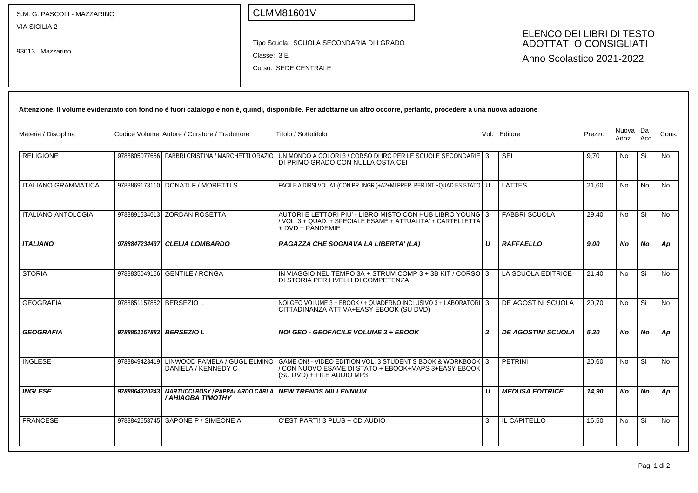| S.M. G. PASCOLI - MAZZARINO             |                          |                                                  | <b>CLMM81601V</b>                                                                                                                                                             |                           |                           |        |                   |           |       |
|-----------------------------------------|--------------------------|--------------------------------------------------|-------------------------------------------------------------------------------------------------------------------------------------------------------------------------------|---------------------------|---------------------------|--------|-------------------|-----------|-------|
| <b>VIA SICILIA 2</b><br>93013 Mazzarino |                          |                                                  | ELENCO DEI LIBRI DI TESTO<br><b>ADOTTATI O CONSIGLIATI</b><br>Tipo Scuola: SCUOLA SECONDARIA DI I GRADO<br>Classe: 3 E<br>Anno Scolastico 2021-2022<br>Corso: SEDE CENTRALE   |                           |                           |        |                   |           |       |
|                                         |                          |                                                  | Attenzione. Il volume evidenziato con fondino è fuori catalogo e non è, quindi, disponibile. Per adottarne un altro occorre, pertanto, procedere a una nuova adozione         |                           |                           |        |                   |           |       |
| Materia / Disciplina                    |                          | Codice Volume Autore / Curatore / Traduttore     | Titolo / Sottotitolo                                                                                                                                                          |                           | Vol. Editore              | Prezzo | Nuova Da<br>Adoz. | Acq.      | Cons. |
| <b>RELIGIONE</b>                        |                          | 9788805077656 FABBRI CRISTINA / MARCHETTI ORAZIO | UN MONDO A COLORI 3 / CORSO DI IRC PER LE SCUOLE SECONDARIE 3<br>DI PRIMO GRADO CON NULLA OSTA CEI                                                                            |                           | SEI                       | 9,70   | No                | Si        | No    |
| <b>ITALIANO GRAMMATICA</b>              |                          | 9788869173110 DONATI F / MORETTI S               | FACILE A DIRSI VOL.A1 (CON PR. INGR.)+A2+MI PREP. PER INT.+QUAD.ES.STATO U                                                                                                    |                           | <b>LATTES</b>             | 21,60  | <b>No</b>         | No        | No    |
| <b>ITALIANO ANTOLOGIA</b>               |                          | 9788891534613 ZORDAN ROSETTA                     | AUTORI E LETTORI PIU' - LIBRO MISTO CON HUB LIBRO YOUNG 3<br>/ VOL. 3 + QUAD. + SPECIALE ESAME + ATTUALITA' + CARTELLETTA<br>+ DVD + PANDEMIE                                 |                           | <b>FABBRI SCUOLA</b>      | 29,40  | <b>No</b>         | Si        | No    |
| <b>ITALIANO</b>                         | 9788847234437            | <b>CLELIA LOMBARDO</b>                           | RAGAZZA CHE SOGNAVA LA LIBERTA' (LA)                                                                                                                                          | U                         | <b>RAFFAELLO</b>          | 9,00   | No                | No        | Ap    |
| <b>STORIA</b>                           | 9788835049166            | <b>GENTILE / RONGA</b>                           | IN VIAGGIO NEL TEMPO 3A + STRUM COMP 3 + 3B KIT / CORSO 3<br>DI STORIA PER LIVELLI DI COMPETENZA                                                                              |                           | LA SCUOLA EDITRICE        | 21,40  | <b>No</b>         | Si        | No    |
| <b>GEOGRAFIA</b>                        | 9788851157852 BERSEZIO L |                                                  | NOI GEO VOLUME 3 + EBOOK / + QUADERNO INCLUSIVO 3 + LABORATORI 3<br>CITTADINANZA ATTIVA+EASY EBOOK (SU DVD)                                                                   |                           | DE AGOSTINI SCUOLA        | 20,70  | <b>No</b>         | Si        | No.   |
| <b>GEOGRAFIA</b>                        |                          | 9788851157883 BERSEZIO L                         | NOI GEO - GEOFACILE VOLUME 3 + EBOOK                                                                                                                                          | $\boldsymbol{\mathsf{3}}$ | <b>DE AGOSTINI SCUOLA</b> | 5,30   | <b>No</b>         | <b>No</b> | Ap    |
| <b>INGLESE</b>                          | 9788849423419            | DANIELA / KENNEDY C                              | LINWOOD PAMELA / GUGLIELMINO GAME ON! - VIDEO EDITION VOL. 3 STUDENT'S BOOK & WORKBOOK 3<br>/ CON NUOVO ESAME DI STATO + EBOOK+MAPS 3+EASY EBOOK<br>(SU DVD) + FILE AUDIO MP3 |                           | PETRINI                   | 20,60  | No                | Si        | No    |
| <b>INGLESE</b>                          |                          | / AHIAGBA TIMOTHY                                | 9788864320243 MARTUCCI ROSY / PAPPALARDO CARLA NEW TRENDS MILLENNIUM                                                                                                          | U                         | <b>MEDUSA EDITRICE</b>    | 14,90  | No                | No        | Ap    |
| <b>FRANCESE</b>                         |                          | 9788842653745 SAPONE P / SIMEONE A               | C'EST PARTI! 3 PLUS + CD AUDIO                                                                                                                                                | 3                         | IL CAPITELLO              | 16,50  | No                | Si        | No    |